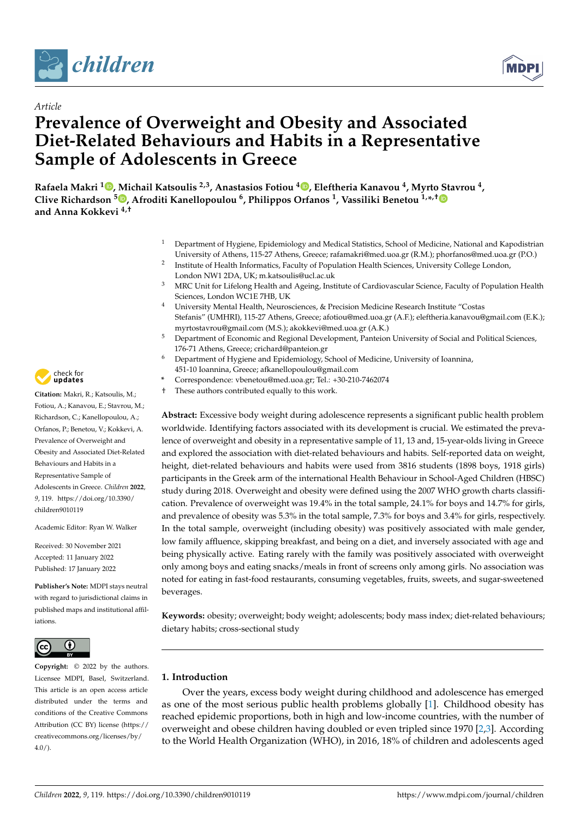



# *Article* **Prevalence of Overweight and Obesity and Associated Diet-Related Behaviours and Habits in a Representative Sample of Adolescents in Greece**

**Rafaela Makri <sup>1</sup> [,](https://orcid.org/0000-0002-3984-1953) Michail Katsoulis 2,3, Anastasios Fotiou <sup>4</sup> [,](https://orcid.org/0000-0001-7905-3241) Eleftheria Kanavou <sup>4</sup> , Myrto Stavrou <sup>4</sup> , Clive Richardson [5](https://orcid.org/0000-0003-1339-8188) , Afroditi Kanellopoulou <sup>6</sup> , Philippos Orfanos <sup>1</sup> , Vassiliki Benetou 1,\* ,[†](https://orcid.org/0000-0002-0415-0386) and Anna Kokkevi 4,†**

- <sup>1</sup> Department of Hygiene, Epidemiology and Medical Statistics, School of Medicine, National and Kapodistrian University of Athens, 115-27 Athens, Greece; rafamakri@med.uoa.gr (R.M.); phorfanos@med.uoa.gr (P.O.)
- 2 Institute of Health Informatics, Faculty of Population Health Sciences, University College London, London NW1 2DA, UK; m.katsoulis@ucl.ac.uk
	- <sup>3</sup> MRC Unit for Lifelong Health and Ageing, Institute of Cardiovascular Science, Faculty of Population Health Sciences, London WC1E 7HB, UK
	- <sup>4</sup> University Mental Health, Neurosciences, & Precision Medicine Research Institute "Costas Stefanis" (UMHRI), 115-27 Athens, Greece; afotiou@med.uoa.gr (A.F.); eleftheria.kanavou@gmail.com (E.K.); myrtostavrou@gmail.com (M.S.); akokkevi@med.uoa.gr (A.K.)
	- <sup>5</sup> Department of Economic and Regional Development, Panteion University of Social and Political Sciences, 176-71 Athens, Greece; crichard@panteion.gr
	- <sup>6</sup> Department of Hygiene and Epidemiology, School of Medicine, University of Ioannina, 451-10 Ioannina, Greece; afkanellopoulou@gmail.com
	- **\*** Correspondence: vbenetou@med.uoa.gr; Tel.: +30-210-7462074
	- † These authors contributed equally to this work.

**Abstract:** Excessive body weight during adolescence represents a significant public health problem worldwide. Identifying factors associated with its development is crucial. We estimated the prevalence of overweight and obesity in a representative sample of 11, 13 and, 15-year-olds living in Greece and explored the association with diet-related behaviours and habits. Self-reported data on weight, height, diet-related behaviours and habits were used from 3816 students (1898 boys, 1918 girls) participants in the Greek arm of the international Health Behaviour in School-Aged Children (HBSC) study during 2018. Overweight and obesity were defined using the 2007 WHO growth charts classification. Prevalence of overweight was 19.4% in the total sample, 24.1% for boys and 14.7% for girls, and prevalence of obesity was 5.3% in the total sample, 7.3% for boys and 3.4% for girls, respectively. In the total sample, overweight (including obesity) was positively associated with male gender, low family affluence, skipping breakfast, and being on a diet, and inversely associated with age and being physically active. Eating rarely with the family was positively associated with overweight only among boys and eating snacks/meals in front of screens only among girls. No association was noted for eating in fast-food restaurants, consuming vegetables, fruits, sweets, and sugar-sweetened beverages.

**Keywords:** obesity; overweight; body weight; adolescents; body mass index; diet-related behaviours; dietary habits; cross-sectional study

# **1. Introduction**

Over the years, excess body weight during childhood and adolescence has emerged as one of the most serious public health problems globally [\[1\]](#page-14-0). Childhood obesity has reached epidemic proportions, both in high and low-income countries, with the number of overweight and obese children having doubled or even tripled since 1970 [\[2](#page-14-1)[,3\]](#page-15-0). According to the World Health Organization (WHO), in 2016, 18% of children and adolescents aged



**Citation:** Makri, R.; Katsoulis, M.; Fotiou, A.; Kanavou, E.; Stavrou, M.; Richardson, C.; Kanellopoulou, A.; Orfanos, P.; Benetou, V.; Kokkevi, A. Prevalence of Overweight and Obesity and Associated Diet-Related Behaviours and Habits in a Representative Sample of Adolescents in Greece. *Children* **2022**, *9*, 119. [https://doi.org/10.3390/](https://doi.org/10.3390/children9010119) [children9010119](https://doi.org/10.3390/children9010119)

Academic Editor: Ryan W. Walker

Received: 30 November 2021 Accepted: 11 January 2022 Published: 17 January 2022

**Publisher's Note:** MDPI stays neutral with regard to jurisdictional claims in published maps and institutional affiliations.



**Copyright:** © 2022 by the authors. Licensee MDPI, Basel, Switzerland. This article is an open access article distributed under the terms and conditions of the Creative Commons Attribution (CC BY) license [\(https://](https://creativecommons.org/licenses/by/4.0/) [creativecommons.org/licenses/by/](https://creativecommons.org/licenses/by/4.0/)  $4.0/$ ).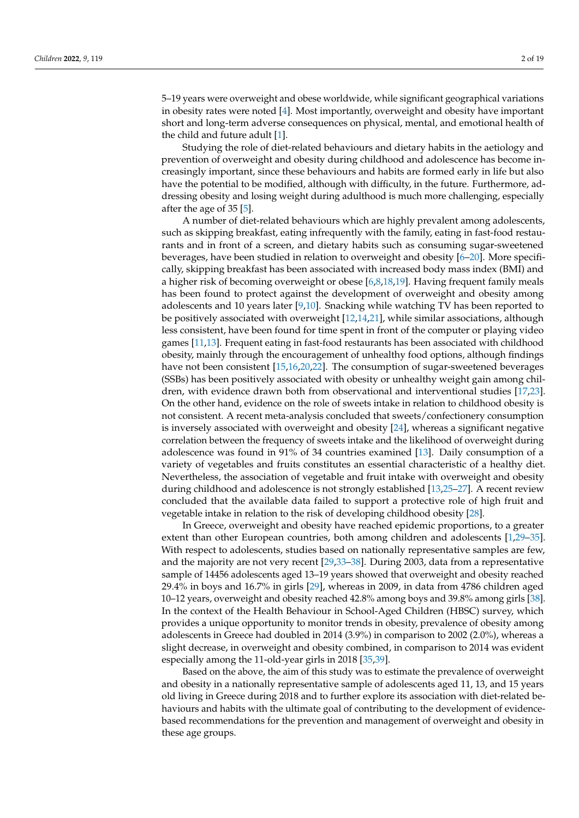5–19 years were overweight and obese worldwide, while significant geographical variations in obesity rates were noted [\[4\]](#page-15-1). Most importantly, overweight and obesity have important short and long-term adverse consequences on physical, mental, and emotional health of the child and future adult [\[1\]](#page-14-0).

Studying the role of diet-related behaviours and dietary habits in the aetiology and prevention of overweight and obesity during childhood and adolescence has become increasingly important, since these behaviours and habits are formed early in life but also have the potential to be modified, although with difficulty, in the future. Furthermore, addressing obesity and losing weight during adulthood is much more challenging, especially after the age of 35 [\[5\]](#page-15-2).

A number of diet-related behaviours which are highly prevalent among adolescents, such as skipping breakfast, eating infrequently with the family, eating in fast-food restaurants and in front of a screen, and dietary habits such as consuming sugar-sweetened beverages, have been studied in relation to overweight and obesity [\[6–](#page-15-3)[20\]](#page-15-4). More specifically, skipping breakfast has been associated with increased body mass index (BMI) and a higher risk of becoming overweight or obese [\[6,](#page-15-3)[8,](#page-15-5)[18,](#page-15-6)[19\]](#page-15-7). Having frequent family meals has been found to protect against the development of overweight and obesity among adolescents and 10 years later [\[9](#page-15-8)[,10\]](#page-15-9). Snacking while watching TV has been reported to be positively associated with overweight [\[12,](#page-15-10)[14,](#page-15-11)[21\]](#page-15-12), while similar associations, although less consistent, have been found for time spent in front of the computer or playing video games [\[11](#page-15-13)[,13\]](#page-15-14). Frequent eating in fast-food restaurants has been associated with childhood obesity, mainly through the encouragement of unhealthy food options, although findings have not been consistent [\[15](#page-15-15)[,16](#page-15-16)[,20](#page-15-4)[,22\]](#page-15-17). The consumption of sugar-sweetened beverages (SSBs) has been positively associated with obesity or unhealthy weight gain among children, with evidence drawn both from observational and interventional studies [\[17,](#page-15-18)[23\]](#page-15-19). On the other hand, evidence on the role of sweets intake in relation to childhood obesity is not consistent. A recent meta-analysis concluded that sweets/confectionery consumption is inversely associated with overweight and obesity [\[24\]](#page-15-20), whereas a significant negative correlation between the frequency of sweets intake and the likelihood of overweight during adolescence was found in 91% of 34 countries examined [\[13\]](#page-15-14). Daily consumption of a variety of vegetables and fruits constitutes an essential characteristic of a healthy diet. Nevertheless, the association of vegetable and fruit intake with overweight and obesity during childhood and adolescence is not strongly established [\[13](#page-15-14)[,25–](#page-15-21)[27\]](#page-16-0). A recent review concluded that the available data failed to support a protective role of high fruit and vegetable intake in relation to the risk of developing childhood obesity [\[28\]](#page-16-1).

In Greece, overweight and obesity have reached epidemic proportions, to a greater extent than other European countries, both among children and adolescents [\[1,](#page-14-0)[29](#page-16-2)[–35\]](#page-16-3). With respect to adolescents, studies based on nationally representative samples are few, and the majority are not very recent [\[29](#page-16-2)[,33–](#page-16-4)[38\]](#page-16-5). During 2003, data from a representative sample of 14456 adolescents aged 13–19 years showed that overweight and obesity reached 29.4% in boys and 16.7% in girls [\[29\]](#page-16-2), whereas in 2009, in data from 4786 children aged 10–12 years, overweight and obesity reached 42.8% among boys and 39.8% among girls [\[38\]](#page-16-5). In the context of the Health Behaviour in School-Aged Children (HBSC) survey, which provides a unique opportunity to monitor trends in obesity, prevalence of obesity among adolescents in Greece had doubled in 2014 (3.9%) in comparison to 2002 (2.0%), whereas a slight decrease, in overweight and obesity combined, in comparison to 2014 was evident especially among the 11-old-year girls in 2018 [\[35,](#page-16-3)[39\]](#page-16-6).

Based on the above, the aim of this study was to estimate the prevalence of overweight and obesity in a nationally representative sample of adolescents aged 11, 13, and 15 years old living in Greece during 2018 and to further explore its association with diet-related behaviours and habits with the ultimate goal of contributing to the development of evidencebased recommendations for the prevention and management of overweight and obesity in these age groups.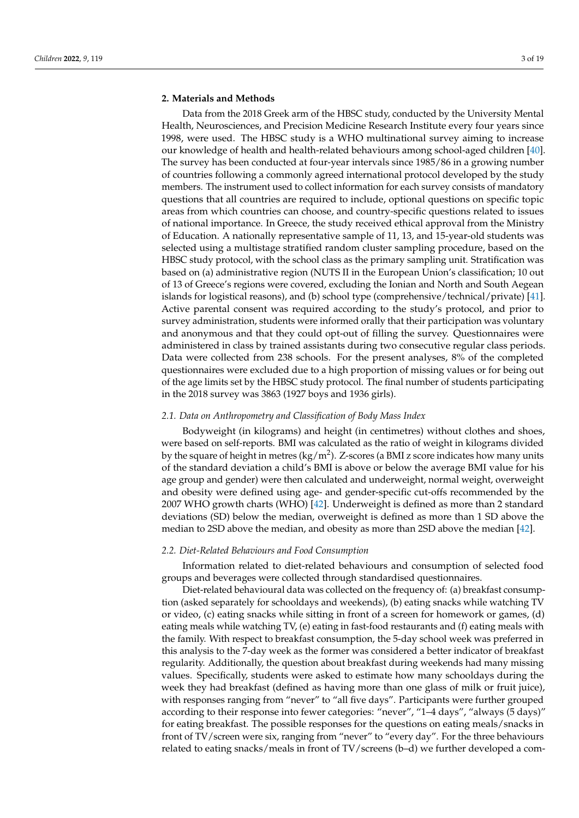# **2. Materials and Methods**

Data from the 2018 Greek arm of the HBSC study, conducted by the University Mental Health, Neurosciences, and Precision Medicine Research Institute every four years since 1998, were used. The HBSC study is a WHO multinational survey aiming to increase our knowledge of health and health-related behaviours among school-aged children [\[40\]](#page-16-7). The survey has been conducted at four-year intervals since 1985/86 in a growing number of countries following a commonly agreed international protocol developed by the study members. The instrument used to collect information for each survey consists of mandatory questions that all countries are required to include, optional questions on specific topic areas from which countries can choose, and country-specific questions related to issues of national importance. In Greece, the study received ethical approval from the Ministry of Education. A nationally representative sample of 11, 13, and 15-year-old students was selected using a multistage stratified random cluster sampling procedure, based on the HBSC study protocol, with the school class as the primary sampling unit. Stratification was based on (a) administrative region (NUTS II in the European Union's classification; 10 out of 13 of Greece's regions were covered, excluding the Ionian and North and South Aegean islands for logistical reasons), and (b) school type (comprehensive/technical/private) [\[41\]](#page-16-8). Active parental consent was required according to the study's protocol, and prior to survey administration, students were informed orally that their participation was voluntary and anonymous and that they could opt-out of filling the survey. Questionnaires were administered in class by trained assistants during two consecutive regular class periods. Data were collected from 238 schools. For the present analyses, 8% of the completed questionnaires were excluded due to a high proportion of missing values or for being out of the age limits set by the HBSC study protocol. The final number of students participating in the 2018 survey was 3863 (1927 boys and 1936 girls).

## *2.1. Data on Anthropometry and Classification of Body Mass Index*

Bodyweight (in kilograms) and height (in centimetres) without clothes and shoes, were based on self-reports. BMI was calculated as the ratio of weight in kilograms divided by the square of height in metres (kg/m<sup>2</sup>). Z-scores (a BMI z score indicates how many units of the standard deviation a child's BMI is above or below the average BMI value for his age group and gender) were then calculated and underweight, normal weight, overweight and obesity were defined using age- and gender-specific cut-offs recommended by the 2007 WHO growth charts (WHO) [\[42\]](#page-16-9). Underweight is defined as more than 2 standard deviations (SD) below the median, overweight is defined as more than 1 SD above the median to 2SD above the median, and obesity as more than 2SD above the median [\[42\]](#page-16-9).

#### *2.2. Diet-Related Behaviours and Food Consumption*

Information related to diet-related behaviours and consumption of selected food groups and beverages were collected through standardised questionnaires.

Diet-related behavioural data was collected on the frequency of: (a) breakfast consumption (asked separately for schooldays and weekends), (b) eating snacks while watching TV or video, (c) eating snacks while sitting in front of a screen for homework or games, (d) eating meals while watching TV, (e) eating in fast-food restaurants and (f) eating meals with the family. With respect to breakfast consumption, the 5-day school week was preferred in this analysis to the 7-day week as the former was considered a better indicator of breakfast regularity. Additionally, the question about breakfast during weekends had many missing values. Specifically, students were asked to estimate how many schooldays during the week they had breakfast (defined as having more than one glass of milk or fruit juice), with responses ranging from "never" to "all five days". Participants were further grouped according to their response into fewer categories: "never", "1–4 days", "always (5 days)" for eating breakfast. The possible responses for the questions on eating meals/snacks in front of TV/screen were six, ranging from "never" to "every day". For the three behaviours related to eating snacks/meals in front of TV/screens (b–d) we further developed a com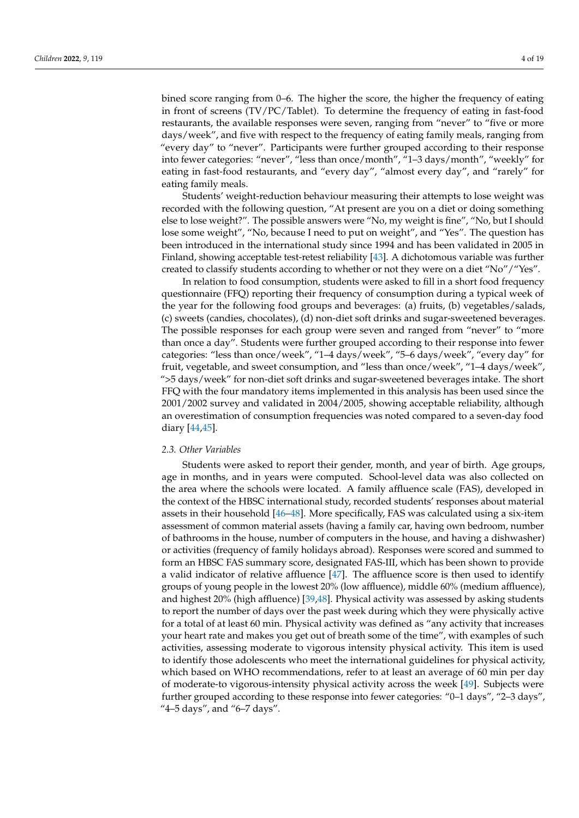bined score ranging from 0–6. The higher the score, the higher the frequency of eating in front of screens (TV/PC/Tablet). To determine the frequency of eating in fast-food restaurants, the available responses were seven, ranging from "never" to "five or more days/week", and five with respect to the frequency of eating family meals, ranging from "every day" to "never". Participants were further grouped according to their response into fewer categories: "never", "less than once/month", "1–3 days/month", "weekly" for eating in fast-food restaurants, and "every day", "almost every day", and "rarely" for eating family meals.

Students' weight-reduction behaviour measuring their attempts to lose weight was recorded with the following question, "At present are you on a diet or doing something else to lose weight?". The possible answers were "No, my weight is fine", "No, but I should lose some weight", "No, because I need to put on weight", and "Yes". The question has been introduced in the international study since 1994 and has been validated in 2005 in Finland, showing acceptable test-retest reliability [\[43\]](#page-16-10). A dichotomous variable was further created to classify students according to whether or not they were on a diet "No"/"Yes".

In relation to food consumption, students were asked to fill in a short food frequency questionnaire (FFQ) reporting their frequency of consumption during a typical week of the year for the following food groups and beverages: (a) fruits, (b) vegetables/salads, (c) sweets (candies, chocolates), (d) non-diet soft drinks and sugar-sweetened beverages. The possible responses for each group were seven and ranged from "never" to "more than once a day". Students were further grouped according to their response into fewer categories: "less than once/week", "1–4 days/week", "5–6 days/week", "every day" for fruit, vegetable, and sweet consumption, and "less than once/week", "1–4 days/week", ">5 days/week" for non-diet soft drinks and sugar-sweetened beverages intake. The short FFQ with the four mandatory items implemented in this analysis has been used since the 2001/2002 survey and validated in 2004/2005, showing acceptable reliability, although an overestimation of consumption frequencies was noted compared to a seven-day food diary [\[44,](#page-16-11)[45\]](#page-16-12).

## *2.3. Other Variables*

Students were asked to report their gender, month, and year of birth. Age groups, age in months, and in years were computed. School-level data was also collected on the area where the schools were located. A family affluence scale (FAS), developed in the context of the HBSC international study, recorded students' responses about material assets in their household [\[46–](#page-16-13)[48\]](#page-17-0). More specifically, FAS was calculated using a six-item assessment of common material assets (having a family car, having own bedroom, number of bathrooms in the house, number of computers in the house, and having a dishwasher) or activities (frequency of family holidays abroad). Responses were scored and summed to form an HBSC FAS summary score, designated FAS-III, which has been shown to provide a valid indicator of relative affluence  $[47]$ . The affluence score is then used to identify groups of young people in the lowest 20% (low affluence), middle 60% (medium affluence), and highest 20% (high affluence) [\[39](#page-16-6)[,48\]](#page-17-0). Physical activity was assessed by asking students to report the number of days over the past week during which they were physically active for a total of at least 60 min. Physical activity was defined as "any activity that increases your heart rate and makes you get out of breath some of the time", with examples of such activities, assessing moderate to vigorous intensity physical activity. This item is used to identify those adolescents who meet the international guidelines for physical activity, which based on WHO recommendations, refer to at least an average of 60 min per day of moderate-to vigorous-intensity physical activity across the week [\[49\]](#page-17-2). Subjects were further grouped according to these response into fewer categories: "0–1 days", "2–3 days", "4–5 days", and "6–7 days".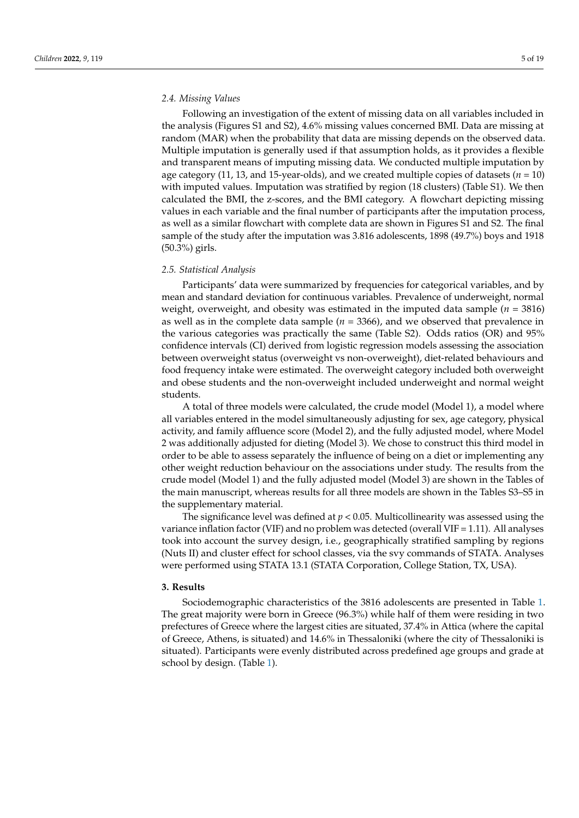#### *2.4. Missing Values*

Following an investigation of the extent of missing data on all variables included in the analysis (Figures S1 and S2), 4.6% missing values concerned BMI. Data are missing at random (MAR) when the probability that data are missing depends on the observed data. Multiple imputation is generally used if that assumption holds, as it provides a flexible and transparent means of imputing missing data. We conducted multiple imputation by age category  $(11, 13,$  and  $15$ -year-olds), and we created multiple copies of datasets  $(n = 10)$ with imputed values. Imputation was stratified by region (18 clusters) (Table S1). We then calculated the BMI, the z-scores, and the BMI category. A flowchart depicting missing values in each variable and the final number of participants after the imputation process, as well as a similar flowchart with complete data are shown in Figures S1 and S2. The final sample of the study after the imputation was 3.816 adolescents, 1898 (49.7%) boys and 1918 (50.3%) girls.

## *2.5. Statistical Analysis*

Participants' data were summarized by frequencies for categorical variables, and by mean and standard deviation for continuous variables. Prevalence of underweight, normal weight, overweight, and obesity was estimated in the imputed data sample (*n* = 3816) as well as in the complete data sample (*n* = 3366), and we observed that prevalence in the various categories was practically the same (Table S2). Odds ratios (OR) and 95% confidence intervals (CI) derived from logistic regression models assessing the association between overweight status (overweight vs non-overweight), diet-related behaviours and food frequency intake were estimated. The overweight category included both overweight and obese students and the non-overweight included underweight and normal weight students.

A total of three models were calculated, the crude model (Model 1), a model where all variables entered in the model simultaneously adjusting for sex, age category, physical activity, and family affluence score (Model 2), and the fully adjusted model, where Model 2 was additionally adjusted for dieting (Model 3). We chose to construct this third model in order to be able to assess separately the influence of being on a diet or implementing any other weight reduction behaviour on the associations under study. The results from the crude model (Model 1) and the fully adjusted model (Model 3) are shown in the Tables of the main manuscript, whereas results for all three models are shown in the Tables S3–S5 in the supplementary material.

The significance level was defined at  $p < 0.05$ . Multicollinearity was assessed using the variance inflation factor (VIF) and no problem was detected (overall VIF = 1.11). All analyses took into account the survey design, i.e., geographically stratified sampling by regions (Nuts II) and cluster effect for school classes, via the svy commands of STATA. Analyses were performed using STATA 13.1 (STATA Corporation, College Station, TX, USA).

## **3. Results**

Sociodemographic characteristics of the 3816 adolescents are presented in Table [1.](#page-5-0) The great majority were born in Greece (96.3%) while half of them were residing in two prefectures of Greece where the largest cities are situated, 37.4% in Attica (where the capital of Greece, Athens, is situated) and 14.6% in Thessaloniki (where the city of Thessaloniki is situated). Participants were evenly distributed across predefined age groups and grade at school by design. (Table [1\)](#page-5-0).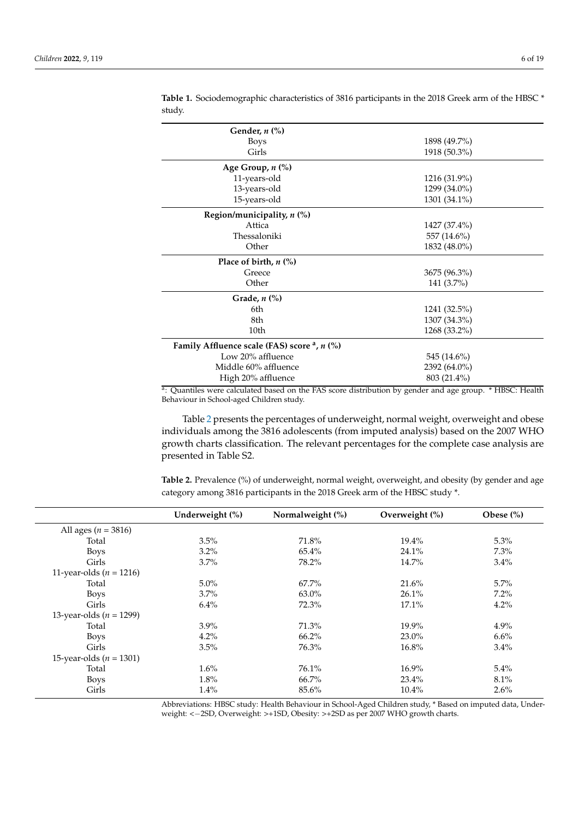| Gender, $n$ $\left(\% \right)$                          |              |
|---------------------------------------------------------|--------------|
| <b>Boys</b>                                             | 1898 (49.7%) |
| Girls                                                   | 1918 (50.3%) |
| Age Group, n (%)                                        |              |
| 11-years-old                                            | 1216 (31.9%) |
| 13-years-old                                            | 1299 (34.0%) |
| 15-years-old                                            | 1301 (34.1%) |
| Region/municipality, $n$ (%)                            |              |
| Attica                                                  | 1427 (37.4%) |
| Thessaloniki                                            | 557 (14.6%)  |
| Other                                                   | 1832 (48.0%) |
| Place of birth, $n$ (%)                                 |              |
| Greece                                                  | 3675 (96.3%) |
| Other                                                   | $141(3.7\%)$ |
| Grade, $n$ $\left(\frac{9}{6}\right)$                   |              |
| 6th                                                     | 1241 (32.5%) |
| 8th                                                     | 1307 (34.3%) |
| 10th                                                    | 1268 (33.2%) |
| Family Affluence scale (FAS) score <sup>a</sup> , n (%) |              |
| Low 20% affluence                                       | 545 (14.6%)  |
| Middle 60% affluence                                    | 2392 (64.0%) |
| High 20% affluence                                      | 803 (21.4%)  |

<span id="page-5-0"></span>**Table 1.** Sociodemographic characteristics of 3816 participants in the 2018 Greek arm of the HBSC \* study.

<sup>a</sup>: Quantiles were calculated based on the FAS score distribution by gender and age group. \* HBSC: Health Behaviour in School-aged Children study.

Table [2](#page-5-1) presents the percentages of underweight, normal weight, overweight and obese individuals among the 3816 adolescents (from imputed analysis) based on the 2007 WHO growth charts classification. The relevant percentages for the complete case analysis are presented in Table S2.

<span id="page-5-1"></span>**Table 2.** Prevalence (%) of underweight, normal weight, overweight, and obesity (by gender and age category among 3816 participants in the 2018 Greek arm of the HBSC study \*.

|                             | Underweight (%) | Normalweight (%) | Overweight (%) | Obese $(\%)$ |
|-----------------------------|-----------------|------------------|----------------|--------------|
| All ages ( $n = 3816$ )     |                 |                  |                |              |
| Total                       | $3.5\%$         | 71.8%            | 19.4%          | $5.3\%$      |
| <b>Boys</b>                 | $3.2\%$         | 65.4%            | 24.1%          | $7.3\%$      |
| Girls                       | $3.7\%$         | 78.2%            | 14.7%          | 3.4%         |
| 11-year-olds ( $n = 1216$ ) |                 |                  |                |              |
| Total                       | $5.0\%$         | 67.7%            | 21.6%          | $5.7\%$      |
| <b>Boys</b>                 | $3.7\%$         | 63.0%            | $26.1\%$       | $7.2\%$      |
| Girls                       | 6.4%            | 72.3%            | 17.1%          | 4.2%         |
| 13-year-olds ( $n = 1299$ ) |                 |                  |                |              |
| Total                       | $3.9\%$         | 71.3%            | 19.9%          | $4.9\%$      |
| <b>Boys</b>                 | 4.2%            | $66.2\%$         | 23.0%          | 6.6%         |
| Girls                       | 3.5%            | 76.3%            | 16.8%          | 3.4%         |
| 15-year-olds ( $n = 1301$ ) |                 |                  |                |              |
| Total                       | $1.6\%$         | 76.1%            | 16.9%          | 5.4%         |
| <b>Boys</b>                 | $1.8\%$         | 66.7%            | 23.4%          | 8.1%         |
| Girls                       | 1.4%            | 85.6%            | $10.4\%$       | 2.6%         |

Abbreviations: HBSC study: Health Behaviour in School-Aged Children study, \* Based on imputed data, Underweight: <−2SD, Overweight: >+1SD, Obesity: >+2SD as per 2007 WHO growth charts.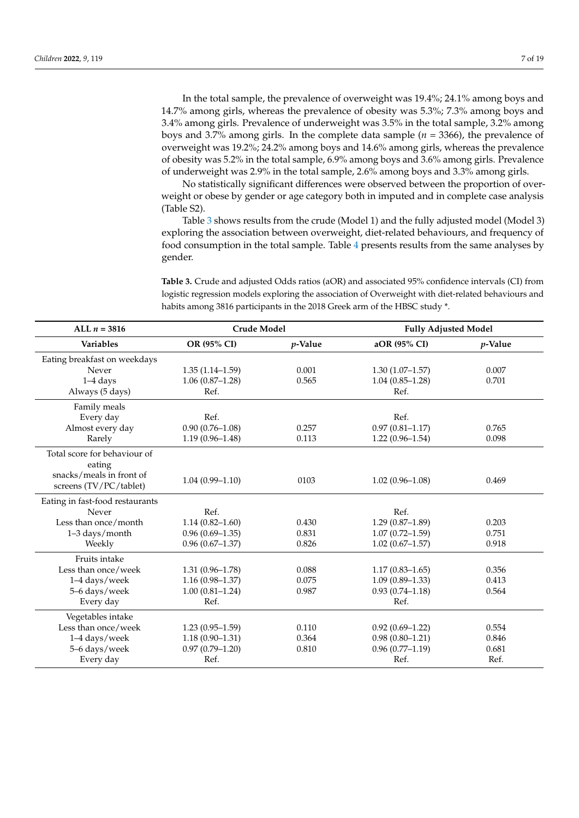In the total sample, the prevalence of overweight was 19.4%; 24.1% among boys and 14.7% among girls, whereas the prevalence of obesity was 5.3%; 7.3% among boys and 3.4% among girls. Prevalence of underweight was 3.5% in the total sample, 3.2% among boys and 3.7% among girls. In the complete data sample (*n* = 3366), the prevalence of overweight was 19.2%; 24.2% among boys and 14.6% among girls, whereas the prevalence of obesity was 5.2% in the total sample, 6.9% among boys and 3.6% among girls. Prevalence of underweight was 2.9% in the total sample, 2.6% among boys and 3.3% among girls.

No statistically significant differences were observed between the proportion of overweight or obese by gender or age category both in imputed and in complete case analysis (Table S2).

Table [3](#page-7-0) shows results from the crude (Model 1) and the fully adjusted model (Model 3) exploring the association between overweight, diet-related behaviours, and frequency of food consumption in the total sample. Table [4](#page-9-0) presents results from the same analyses by gender.

**Table 3.** Crude and adjusted Odds ratios (aOR) and associated 95% confidence intervals (CI) from logistic regression models exploring the association of Overweight with diet-related behaviours and habits among 3816 participants in the 2018 Greek arm of the HBSC study \*.

| ALL $n = 3816$                                                                               | <b>Crude Model</b>  |                              | <b>Fully Adjusted Model</b> |            |
|----------------------------------------------------------------------------------------------|---------------------|------------------------------|-----------------------------|------------|
| <b>Variables</b>                                                                             | OR (95% CI)         | aOR (95% CI)<br>$p$ -Value   |                             | $p$ -Value |
| Eating breakfast on weekdays                                                                 |                     |                              |                             |            |
| Never                                                                                        | $1.35(1.14 - 1.59)$ | 0.001                        | $1.30(1.07-1.57)$           | 0.007      |
| $1-4$ days                                                                                   | $1.06(0.87-1.28)$   | 0.565                        | $1.04(0.85-1.28)$           | 0.701      |
| Always (5 days)                                                                              | Ref.                |                              | Ref.                        |            |
| Family meals                                                                                 |                     |                              |                             |            |
| Every day                                                                                    | Ref.                |                              | Ref.                        |            |
| Almost every day                                                                             | $0.90(0.76 - 1.08)$ | 0.257                        | $0.97(0.81 - 1.17)$         | 0.765      |
| Rarely                                                                                       | $1.19(0.96 - 1.48)$ | 0.113                        | $1.22(0.96 - 1.54)$         | 0.098      |
| Total score for behaviour of<br>eating<br>snacks/meals in front of<br>screens (TV/PC/tablet) | $1.04(0.99 - 1.10)$ | 0103                         | $1.02(0.96 - 1.08)$         | 0.469      |
| Eating in fast-food restaurants                                                              |                     |                              |                             |            |
| Never                                                                                        | Ref.                |                              | Ref.                        |            |
| Less than once/month                                                                         | $1.14(0.82 - 1.60)$ | 0.430                        | $1.29(0.87-1.89)$           | 0.203      |
| 1-3 days/month                                                                               | $0.96(0.69 - 1.35)$ | 0.831                        | $1.07(0.72 - 1.59)$         | 0.751      |
| Weekly                                                                                       | $0.96(0.67 - 1.37)$ | 0.826                        | $1.02(0.67 - 1.57)$         | 0.918      |
| Fruits intake                                                                                |                     |                              |                             |            |
| Less than once/week                                                                          | $1.31(0.96 - 1.78)$ | 0.088                        | $1.17(0.83 - 1.65)$         | 0.356      |
| 1-4 days/week                                                                                | $1.16(0.98 - 1.37)$ | 0.075<br>$1.09(0.89 - 1.33)$ |                             | 0.413      |
| 5-6 days/week                                                                                | $1.00(0.81 - 1.24)$ | 0.987                        | $0.93(0.74 - 1.18)$         | 0.564      |
| Every day                                                                                    | Ref.                |                              | Ref.                        |            |
| Vegetables intake                                                                            |                     |                              |                             |            |
| Less than once/week                                                                          | $1.23(0.95 - 1.59)$ | 0.110                        | $0.92(0.69 - 1.22)$         | 0.554      |
| 1-4 days/week                                                                                | $1.18(0.90 - 1.31)$ | 0.364                        | $0.98(0.80 - 1.21)$         | 0.846      |
| 5-6 days/week                                                                                | $0.97(0.79 - 1.20)$ | 0.810                        | $0.96(0.77-1.19)$           | 0.681      |
| Every day                                                                                    | Ref.                |                              | Ref.                        | Ref.       |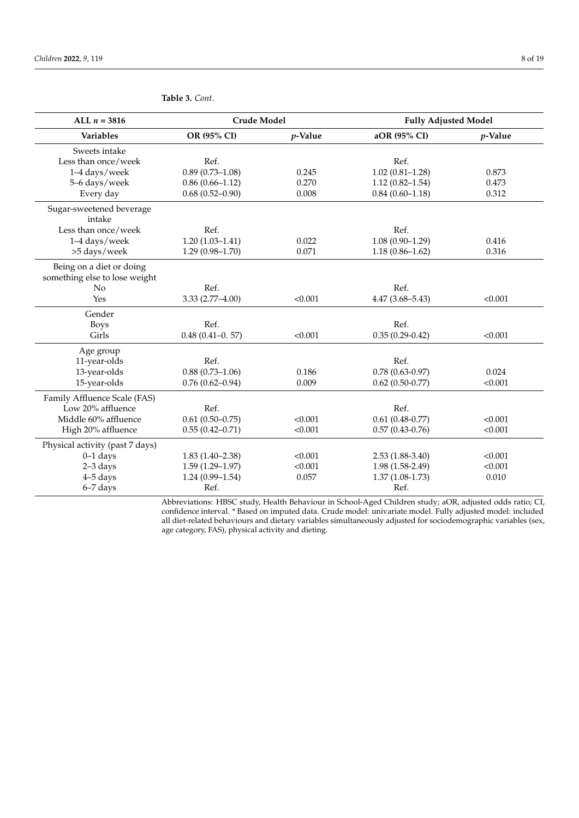| ALL $n = 3816$                                            | <b>Crude Model</b><br><b>Fully Adjusted Model</b> |                             |                     |            |
|-----------------------------------------------------------|---------------------------------------------------|-----------------------------|---------------------|------------|
| <b>Variables</b>                                          | OR (95% CI)                                       | $p$ -Value                  | aOR (95% CI)        | $p$ -Value |
| Sweets intake                                             |                                                   |                             |                     |            |
| Less than once/week                                       | Ref.                                              |                             | Ref.                |            |
| 1-4 days/week                                             | $0.89(0.73 - 1.08)$                               | 0.245                       | $1.02(0.81 - 1.28)$ | 0.873      |
| 5-6 days/week                                             | $0.86(0.66 - 1.12)$                               | 0.270                       | $1.12(0.82 - 1.54)$ | 0.473      |
| Every day                                                 | $0.68(0.52 - 0.90)$                               | 0.008                       | $0.84(0.60 - 1.18)$ | 0.312      |
| Sugar-sweetened beverage<br>intake                        |                                                   |                             |                     |            |
| Less than once/week                                       | Ref.                                              |                             | Ref.                |            |
| 1-4 days/week                                             | $1.20(1.03 - 1.41)$                               | 0.022                       | $1.08(0.90 - 1.29)$ | 0.416      |
| >5 days/week                                              | $1.29(0.98 - 1.70)$                               | 0.071                       | $1.18(0.86 - 1.62)$ | 0.316      |
| Being on a diet or doing<br>something else to lose weight |                                                   |                             |                     |            |
| No                                                        | Ref.                                              |                             | Ref.                |            |
| Yes                                                       | $3.33(2.77 - 4.00)$                               | < 0.001                     | $4.47(3.68 - 5.43)$ | < 0.001    |
| Gender                                                    |                                                   |                             |                     |            |
| <b>Boys</b>                                               | Ref.                                              |                             | Ref.                |            |
| Girls                                                     | $0.48(0.41 - 0.57)$                               | < 0.001                     | $0.35(0.29-0.42)$   | < 0.001    |
| Age group                                                 |                                                   |                             |                     |            |
| 11-year-olds                                              | Ref.                                              |                             | Ref.                |            |
| 13-year-olds                                              | $0.88(0.73 - 1.06)$                               | 0.186                       | $0.78(0.63 - 0.97)$ | 0.024      |
| 15-year-olds                                              | $0.76(0.62 - 0.94)$                               | 0.009<br>$0.62$ (0.50-0.77) |                     | < 0.001    |
| Family Affluence Scale (FAS)                              |                                                   |                             |                     |            |
| Low 20% affluence                                         | Ref.                                              |                             | Ref.                |            |
| Middle 60% affluence                                      | $0.61(0.50 - 0.75)$                               | < 0.001                     | $0.61(0.48-0.77)$   | < 0.001    |
| High 20% affluence                                        | $0.55(0.42 - 0.71)$                               | < 0.001                     | $0.57(0.43-0.76)$   | < 0.001    |
| Physical activity (past 7 days)                           |                                                   |                             |                     |            |
| $0-1$ days                                                | $1.83(1.40-2.38)$                                 | < 0.001                     | $2.53(1.88-3.40)$   | < 0.001    |
| $2-3$ days                                                | $1.59(1.29 - 1.97)$                               | < 0.001                     | $1.98(1.58-2.49)$   | < 0.001    |
| $4-5$ days                                                | $1.24(0.99 - 1.54)$                               | 0.057                       | $1.37(1.08-1.73)$   | 0.010      |
| 6–7 days                                                  | Ref.                                              |                             | Ref.                |            |

<span id="page-7-0"></span>**Table 3.** *Cont*.

Abbreviations: HBSC study, Health Behaviour in School-Aged Children study; aOR, adjusted odds ratio; CI, confidence interval. \* Based on imputed data. Crude model: univariate model. Fully adjusted model: included all diet-related behaviours and dietary variables simultaneously adjusted for sociodemographic variables (sex, age category, FAS), physical activity and dieting.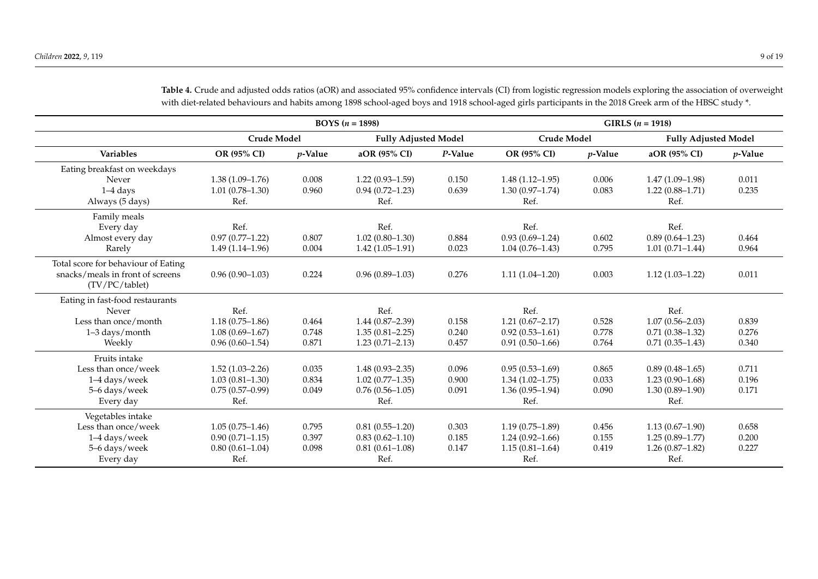|                                     | <b>BOYS</b> $(n = 1898)$ |                                                   |                     | GIRLS $(n = 1918)$ |                     |                             |                     |                 |
|-------------------------------------|--------------------------|---------------------------------------------------|---------------------|--------------------|---------------------|-----------------------------|---------------------|-----------------|
|                                     |                          | <b>Crude Model</b><br><b>Fully Adjusted Model</b> |                     | <b>Crude Model</b> |                     | <b>Fully Adjusted Model</b> |                     |                 |
| Variables                           | OR (95% CI)              | $p$ -Value                                        | aOR (95% CI)        | P-Value            | OR (95% CI)         | <i>p</i> -Value             | aOR (95% CI)        | <i>v</i> -Value |
| Eating breakfast on weekdays        |                          |                                                   |                     |                    |                     |                             |                     |                 |
| Never                               | $1.38(1.09-1.76)$        | 0.008                                             | $1.22(0.93 - 1.59)$ | 0.150              | $1.48(1.12 - 1.95)$ | 0.006                       | $1.47(1.09-1.98)$   | 0.011           |
| $1-4$ days                          | $1.01(0.78 - 1.30)$      | 0.960                                             | $0.94(0.72 - 1.23)$ | 0.639              | $1.30(0.97-1.74)$   | 0.083                       | $1.22(0.88 - 1.71)$ | 0.235           |
| Always (5 days)                     | Ref.                     |                                                   | Ref.                |                    | Ref.                |                             | Ref.                |                 |
| Family meals                        |                          |                                                   |                     |                    |                     |                             |                     |                 |
| Every day                           | Ref.                     |                                                   | Ref.                |                    | Ref.                |                             | Ref.                |                 |
| Almost every day                    | $0.97(0.77-1.22)$        | 0.807                                             | $1.02(0.80-1.30)$   | 0.884              | $0.93(0.69 - 1.24)$ | 0.602                       | $0.89(0.64 - 1.23)$ | 0.464           |
| Rarely                              | $1.49(1.14-1.96)$        | 0.004                                             | $1.42(1.05-1.91)$   | 0.023              | $1.04(0.76 - 1.43)$ | 0.795                       | $1.01(0.71 - 1.44)$ | 0.964           |
| Total score for behaviour of Eating |                          |                                                   |                     |                    |                     |                             |                     |                 |
| snacks/meals in front of screens    | $0.96(0.90-1.03)$        | 0.224                                             | $0.96(0.89-1.03)$   | 0.276              | $1.11(1.04-1.20)$   | 0.003                       | $1.12(1.03 - 1.22)$ | 0.011           |
| (TV/PC/tablet)                      |                          |                                                   |                     |                    |                     |                             |                     |                 |
| Eating in fast-food restaurants     |                          |                                                   |                     |                    |                     |                             |                     |                 |
| Never                               | Ref.                     |                                                   | Ref.                |                    | Ref.                |                             | Ref.                |                 |
| Less than once/month                | $1.18(0.75 - 1.86)$      | 0.464                                             | $1.44(0.87 - 2.39)$ | 0.158              | $1.21(0.67 - 2.17)$ | 0.528                       | $1.07(0.56 - 2.03)$ | 0.839           |
| 1-3 days/month                      | $1.08(0.69 - 1.67)$      | 0.748                                             | $1.35(0.81 - 2.25)$ | 0.240              | $0.92(0.53 - 1.61)$ | 0.778                       | $0.71(0.38 - 1.32)$ | 0.276           |
| Weekly                              | $0.96(0.60-1.54)$        | 0.871                                             | $1.23(0.71 - 2.13)$ | 0.457              | $0.91(0.50-1.66)$   | 0.764                       | $0.71(0.35-1.43)$   | 0.340           |
| Fruits intake                       |                          |                                                   |                     |                    |                     |                             |                     |                 |
| Less than once/week                 | $1.52(1.03 - 2.26)$      | 0.035                                             | $1.48(0.93 - 2.35)$ | 0.096              | $0.95(0.53 - 1.69)$ | 0.865                       | $0.89(0.48 - 1.65)$ | 0.711           |
| 1-4 days/week                       | $1.03(0.81 - 1.30)$      | 0.834                                             | $1.02(0.77-1.35)$   | 0.900              | $1.34(1.02 - 1.75)$ | 0.033                       | $1.23(0.90-1.68)$   | 0.196           |
| 5-6 days/week                       | $0.75(0.57-0.99)$        | 0.049                                             | $0.76(0.56 - 1.05)$ | 0.091              | $1.36(0.95-1.94)$   | 0.090                       | $1.30(0.89 - 1.90)$ | 0.171           |
| Every day                           | Ref.                     |                                                   | Ref.                |                    | Ref.                |                             | Ref.                |                 |
| Vegetables intake                   |                          |                                                   |                     |                    |                     |                             |                     |                 |
| Less than once/week                 | $1.05(0.75 - 1.46)$      | 0.795                                             | $0.81(0.55 - 1.20)$ | 0.303              | $1.19(0.75-1.89)$   | 0.456                       | $1.13(0.67-1.90)$   | 0.658           |
| 1-4 days/week                       | $0.90(0.71 - 1.15)$      | 0.397                                             | $0.83(0.62 - 1.10)$ | 0.185              | $1.24(0.92 - 1.66)$ | 0.155                       | $1.25(0.89 - 1.77)$ | 0.200           |
| 5–6 days/week                       | $0.80(0.61 - 1.04)$      | 0.098                                             | $0.81(0.61 - 1.08)$ | 0.147              | $1.15(0.81 - 1.64)$ | 0.419                       | $1.26(0.87-1.82)$   | 0.227           |
| Every day                           | Ref.                     |                                                   | Ref.                |                    | Ref.                |                             | Ref.                |                 |

**Table 4.** Crude and adjusted odds ratios (aOR) and associated 95% confidence intervals (CI) from logistic regression models exploring the association of overweight with diet-related behaviours and habits among 1898 school-aged boys and 1918 school-aged girls participants in the 2018 Greek arm of the HBSC study \*.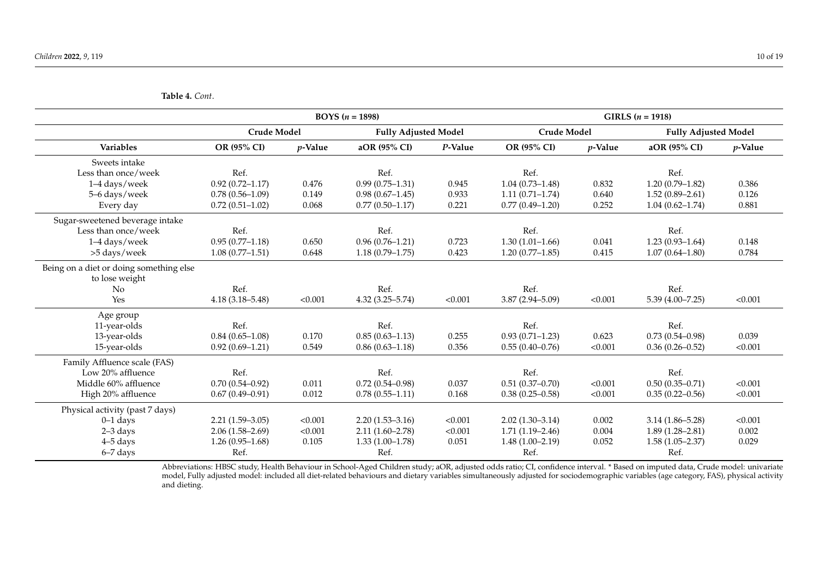**Table 4.** *Cont*.

|                                                           | <b>BOYS</b> $(n = 1898)$ |                                                   |                     |                    | GIRLS $(n = 1918)$  |                             |                     |                 |
|-----------------------------------------------------------|--------------------------|---------------------------------------------------|---------------------|--------------------|---------------------|-----------------------------|---------------------|-----------------|
|                                                           |                          | <b>Crude Model</b><br><b>Fully Adjusted Model</b> |                     | <b>Crude Model</b> |                     | <b>Fully Adjusted Model</b> |                     |                 |
| Variables                                                 | OR (95% CI)              | <i>v</i> -Value                                   | aOR (95% CI)        | P-Value            | OR (95% CI)         | $p$ -Value                  | aOR (95% CI)        | <i>p</i> -Value |
| Sweets intake                                             |                          |                                                   |                     |                    |                     |                             |                     |                 |
| Less than once/week                                       | Ref.                     |                                                   | Ref.                |                    | Ref.                |                             | Ref.                |                 |
| 1-4 days/week                                             | $0.92(0.72 - 1.17)$      | 0.476                                             | $0.99(0.75 - 1.31)$ | 0.945              | $1.04(0.73 - 1.48)$ | 0.832                       | $1.20(0.79-1.82)$   | 0.386           |
| 5-6 days/week                                             | $0.78(0.56 - 1.09)$      | 0.149                                             | $0.98(0.67-1.45)$   | 0.933              | $1.11(0.71 - 1.74)$ | 0.640                       | $1.52(0.89 - 2.61)$ | 0.126           |
| Every day                                                 | $0.72(0.51 - 1.02)$      | 0.068                                             | $0.77(0.50-1.17)$   | 0.221              | $0.77(0.49 - 1.20)$ | 0.252                       | $1.04(0.62 - 1.74)$ | 0.881           |
| Sugar-sweetened beverage intake                           |                          |                                                   |                     |                    |                     |                             |                     |                 |
| Less than once/week                                       | Ref.                     |                                                   | Ref.                |                    | Ref.                |                             | Ref.                |                 |
| 1-4 days/week                                             | $0.95(0.77-1.18)$        | 0.650                                             | $0.96(0.76 - 1.21)$ | 0.723              | $1.30(1.01 - 1.66)$ | 0.041                       | $1.23(0.93 - 1.64)$ | 0.148           |
| >5 days/week                                              | $1.08(0.77-1.51)$        | 0.648                                             | $1.18(0.79 - 1.75)$ | 0.423              | $1.20(0.77-1.85)$   | 0.415                       | $1.07(0.64 - 1.80)$ | 0.784           |
| Being on a diet or doing something else<br>to lose weight |                          |                                                   |                     |                    |                     |                             |                     |                 |
| N <sub>o</sub>                                            | Ref.                     |                                                   | Ref.                |                    | Ref.                |                             | Ref.                |                 |
| Yes                                                       | $4.18(3.18 - 5.48)$      | < 0.001                                           | $4.32(3.25 - 5.74)$ | < 0.001            | $3.87(2.94 - 5.09)$ | < 0.001                     | $5.39(4.00 - 7.25)$ | < 0.001         |
| Age group                                                 |                          |                                                   |                     |                    |                     |                             |                     |                 |
| 11-year-olds                                              | Ref.                     |                                                   | Ref.                |                    | Ref.                |                             | Ref.                |                 |
| 13-year-olds                                              | $0.84(0.65 - 1.08)$      | 0.170                                             | $0.85(0.63 - 1.13)$ | 0.255              | $0.93(0.71 - 1.23)$ | 0.623                       | $0.73(0.54 - 0.98)$ | 0.039           |
| 15-year-olds                                              | $0.92(0.69 - 1.21)$      | 0.549                                             | $0.86(0.63 - 1.18)$ | 0.356              | $0.55(0.40 - 0.76)$ | < 0.001                     | $0.36(0.26 - 0.52)$ | < 0.001         |
| Family Affluence scale (FAS)                              |                          |                                                   |                     |                    |                     |                             |                     |                 |
| Low 20% affluence                                         | Ref.                     |                                                   | Ref.                |                    | Ref.                |                             | Ref.                |                 |
| Middle 60% affluence                                      | $0.70(0.54 - 0.92)$      | 0.011                                             | $0.72(0.54 - 0.98)$ | 0.037              | $0.51(0.37-0.70)$   | < 0.001                     | $0.50(0.35 - 0.71)$ | < 0.001         |
| High 20% affluence                                        | $0.67(0.49 - 0.91)$      | 0.012                                             | $0.78(0.55 - 1.11)$ | 0.168              | $0.38(0.25 - 0.58)$ | < 0.001                     | $0.35(0.22 - 0.56)$ | < 0.001         |
| Physical activity (past 7 days)                           |                          |                                                   |                     |                    |                     |                             |                     |                 |
| $0-1$ days                                                | $2.21(1.59-3.05)$        | < 0.001                                           | $2.20(1.53 - 3.16)$ | < 0.001            | $2.02(1.30-3.14)$   | 0.002                       | $3.14(1.86 - 5.28)$ | < 0.001         |
| $2 - 3$ days                                              | $2.06(1.58-2.69)$        | < 0.001                                           | $2.11(1.60 - 2.78)$ | < 0.001            | $1.71(1.19-2.46)$   | 0.004                       | $1.89(1.28 - 2.81)$ | 0.002           |
| $4-5$ days                                                | $1.26(0.95-1.68)$        | 0.105                                             | $1.33(1.00-1.78)$   | 0.051              | $1.48(1.00 - 2.19)$ | 0.052                       | $1.58(1.05 - 2.37)$ | 0.029           |
| 6-7 days                                                  | Ref.                     |                                                   | Ref.                |                    | Ref.                |                             | Ref.                |                 |

<span id="page-9-0"></span>Abbreviations: HBSC study, Health Behaviour in School-Aged Children study; aOR, adjusted odds ratio; CI, confidence interval. \* Based on imputed data, Crude model: univariate model, Fully adjusted model: included all diet-related behaviours and dietary variables simultaneously adjusted for sociodemographic variables (age category, FAS), physical activity and dieting.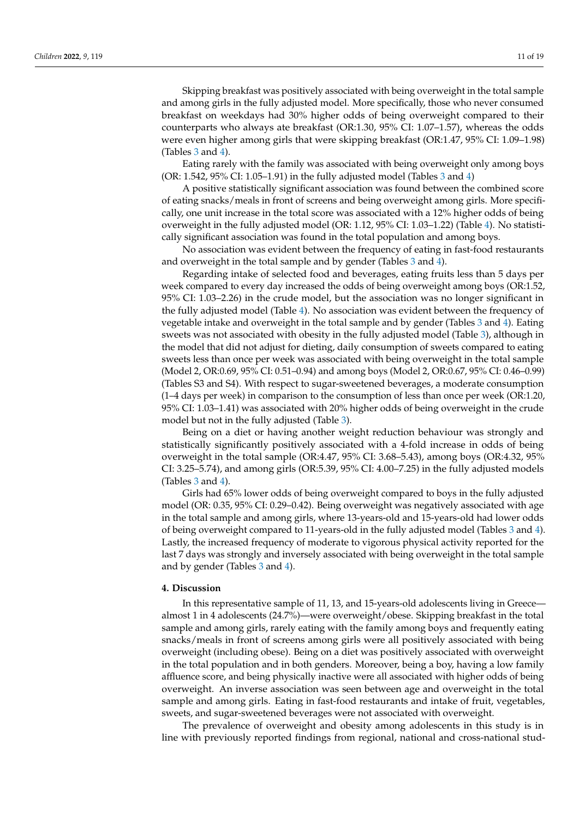Skipping breakfast was positively associated with being overweight in the total sample and among girls in the fully adjusted model. More specifically, those who never consumed breakfast on weekdays had 30% higher odds of being overweight compared to their counterparts who always ate breakfast (OR:1.30, 95% CI: 1.07–1.57), whereas the odds were even higher among girls that were skipping breakfast (OR:1.47, 95% CI: 1.09–1.98) (Tables  $3$  and  $4$ ).

Eating rarely with the family was associated with being overweight only among boys (OR: 1.542, 95% CI: 1.05–1.91) in the fully adjusted model (Tables [3](#page-7-0) and [4\)](#page-9-0)

A positive statistically significant association was found between the combined score of eating snacks/meals in front of screens and being overweight among girls. More specifically, one unit increase in the total score was associated with a 12% higher odds of being overweight in the fully adjusted model (OR: 1.12, 95% CI: 1.03–1.22) (Table [4\)](#page-9-0). No statistically significant association was found in the total population and among boys.

No association was evident between the frequency of eating in fast-food restaurants and overweight in the total sample and by gender (Tables [3](#page-7-0) and [4\)](#page-9-0).

Regarding intake of selected food and beverages, eating fruits less than 5 days per week compared to every day increased the odds of being overweight among boys (OR:1.52, 95% CI: 1.03–2.26) in the crude model, but the association was no longer significant in the fully adjusted model (Table [4\)](#page-9-0). No association was evident between the frequency of vegetable intake and overweight in the total sample and by gender (Tables [3](#page-7-0) and [4\)](#page-9-0). Eating sweets was not associated with obesity in the fully adjusted model (Table [3\)](#page-7-0), although in the model that did not adjust for dieting, daily consumption of sweets compared to eating sweets less than once per week was associated with being overweight in the total sample (Model 2, OR:0.69, 95% CI: 0.51–0.94) and among boys (Model 2, OR:0.67, 95% CI: 0.46–0.99) (Tables S3 and S4). With respect to sugar-sweetened beverages, a moderate consumption (1–4 days per week) in comparison to the consumption of less than once per week (OR:1.20, 95% CI: 1.03–1.41) was associated with 20% higher odds of being overweight in the crude model but not in the fully adjusted (Table [3\)](#page-7-0).

Being on a diet or having another weight reduction behaviour was strongly and statistically significantly positively associated with a 4-fold increase in odds of being overweight in the total sample (OR:4.47, 95% CI: 3.68–5.43), among boys (OR:4.32, 95% CI: 3.25–5.74), and among girls (OR:5.39, 95% CI: 4.00–7.25) in the fully adjusted models (Tables [3](#page-7-0) and [4\)](#page-9-0).

Girls had 65% lower odds of being overweight compared to boys in the fully adjusted model (OR: 0.35, 95% CI: 0.29–0.42). Being overweight was negatively associated with age in the total sample and among girls, where 13-years-old and 15-years-old had lower odds of being overweight compared to 11-years-old in the fully adjusted model (Tables [3](#page-7-0) and [4\)](#page-9-0). Lastly, the increased frequency of moderate to vigorous physical activity reported for the last 7 days was strongly and inversely associated with being overweight in the total sample and by gender (Tables [3](#page-7-0) and [4\)](#page-9-0).

#### **4. Discussion**

In this representative sample of 11, 13, and 15-years-old adolescents living in Greece almost 1 in 4 adolescents (24.7%)—were overweight/obese. Skipping breakfast in the total sample and among girls, rarely eating with the family among boys and frequently eating snacks/meals in front of screens among girls were all positively associated with being overweight (including obese). Being on a diet was positively associated with overweight in the total population and in both genders. Moreover, being a boy, having a low family affluence score, and being physically inactive were all associated with higher odds of being overweight. An inverse association was seen between age and overweight in the total sample and among girls. Eating in fast-food restaurants and intake of fruit, vegetables, sweets, and sugar-sweetened beverages were not associated with overweight.

The prevalence of overweight and obesity among adolescents in this study is in line with previously reported findings from regional, national and cross-national stud-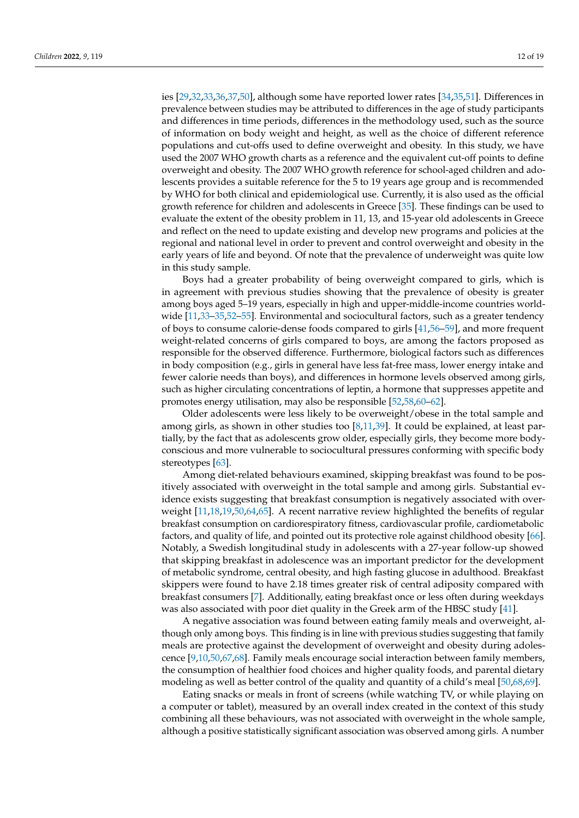ies [\[29,](#page-16-2)[32,](#page-16-14)[33,](#page-16-4)[36,](#page-16-15)[37,](#page-16-16)[50\]](#page-17-3), although some have reported lower rates [\[34](#page-16-17)[,35](#page-16-3)[,51\]](#page-17-4). Differences in prevalence between studies may be attributed to differences in the age of study participants and differences in time periods, differences in the methodology used, such as the source of information on body weight and height, as well as the choice of different reference populations and cut-offs used to define overweight and obesity. In this study, we have used the 2007 WHO growth charts as a reference and the equivalent cut-off points to define overweight and obesity. The 2007 WHO growth reference for school-aged children and adolescents provides a suitable reference for the 5 to 19 years age group and is recommended by WHO for both clinical and epidemiological use. Currently, it is also used as the official growth reference for children and adolescents in Greece [\[35\]](#page-16-3). These findings can be used to evaluate the extent of the obesity problem in 11, 13, and 15-year old adolescents in Greece and reflect on the need to update existing and develop new programs and policies at the regional and national level in order to prevent and control overweight and obesity in the early years of life and beyond. Of note that the prevalence of underweight was quite low in this study sample.

Boys had a greater probability of being overweight compared to girls, which is in agreement with previous studies showing that the prevalence of obesity is greater among boys aged 5–19 years, especially in high and upper-middle-income countries world-wide [\[11](#page-15-13)[,33–](#page-16-4)[35](#page-16-3)[,52](#page-17-5)[–55\]](#page-17-6). Environmental and sociocultural factors, such as a greater tendency of boys to consume calorie-dense foods compared to girls [\[41](#page-16-8)[,56](#page-17-7)[–59\]](#page-17-8), and more frequent weight-related concerns of girls compared to boys, are among the factors proposed as responsible for the observed difference. Furthermore, biological factors such as differences in body composition (e.g., girls in general have less fat-free mass, lower energy intake and fewer calorie needs than boys), and differences in hormone levels observed among girls, such as higher circulating concentrations of leptin, a hormone that suppresses appetite and promotes energy utilisation, may also be responsible [\[52,](#page-17-5)[58,](#page-17-9)[60](#page-17-10)[–62\]](#page-17-11).

Older adolescents were less likely to be overweight/obese in the total sample and among girls, as shown in other studies too  $[8,11,39]$  $[8,11,39]$  $[8,11,39]$ . It could be explained, at least partially, by the fact that as adolescents grow older, especially girls, they become more bodyconscious and more vulnerable to sociocultural pressures conforming with specific body stereotypes [\[63\]](#page-17-12).

Among diet-related behaviours examined, skipping breakfast was found to be positively associated with overweight in the total sample and among girls. Substantial evidence exists suggesting that breakfast consumption is negatively associated with overweight [\[11](#page-15-13)[,18](#page-15-6)[,19](#page-15-7)[,50](#page-17-3)[,64](#page-17-13)[,65\]](#page-17-14). A recent narrative review highlighted the benefits of regular breakfast consumption on cardiorespiratory fitness, cardiovascular profile, cardiometabolic factors, and quality of life, and pointed out its protective role against childhood obesity [\[66\]](#page-17-15). Notably, a Swedish longitudinal study in adolescents with a 27-year follow-up showed that skipping breakfast in adolescence was an important predictor for the development of metabolic syndrome, central obesity, and high fasting glucose in adulthood. Breakfast skippers were found to have 2.18 times greater risk of central adiposity compared with breakfast consumers [\[7\]](#page-15-22). Additionally, eating breakfast once or less often during weekdays was also associated with poor diet quality in the Greek arm of the HBSC study [\[41\]](#page-16-8).

A negative association was found between eating family meals and overweight, although only among boys. This finding is in line with previous studies suggesting that family meals are protective against the development of overweight and obesity during adolescence [\[9](#page-15-8)[,10](#page-15-9)[,50](#page-17-3)[,67,](#page-17-16)[68\]](#page-17-17). Family meals encourage social interaction between family members, the consumption of healthier food choices and higher quality foods, and parental dietary modeling as well as better control of the quality and quantity of a child's meal [\[50,](#page-17-3)[68,](#page-17-17)[69\]](#page-17-18).

Eating snacks or meals in front of screens (while watching TV, or while playing on a computer or tablet), measured by an overall index created in the context of this study combining all these behaviours, was not associated with overweight in the whole sample, although a positive statistically significant association was observed among girls. A number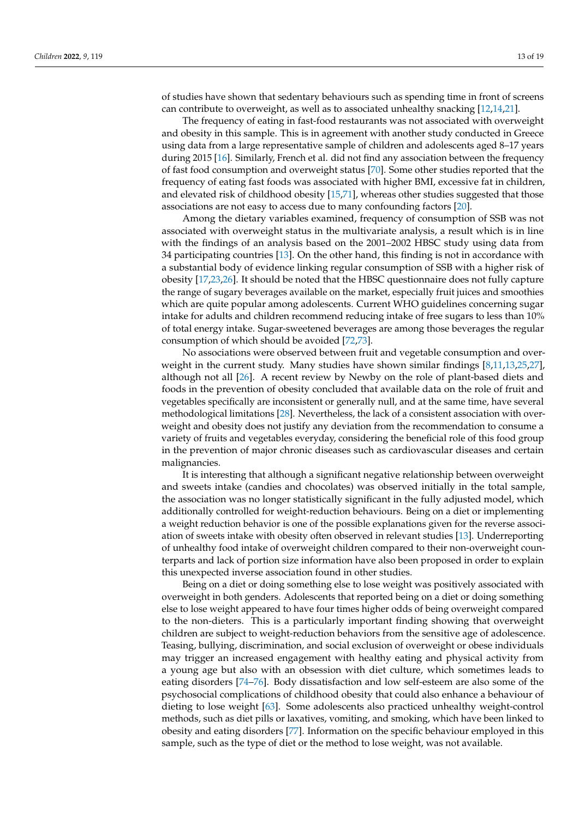of studies have shown that sedentary behaviours such as spending time in front of screens can contribute to overweight, as well as to associated unhealthy snacking [\[12](#page-15-10)[,14](#page-15-11)[,21\]](#page-15-12).

The frequency of eating in fast-food restaurants was not associated with overweight and obesity in this sample. This is in agreement with another study conducted in Greece using data from a large representative sample of children and adolescents aged 8–17 years during 2015 [\[16\]](#page-15-16). Similarly, French et al. did not find any association between the frequency of fast food consumption and overweight status [\[70\]](#page-17-19). Some other studies reported that the frequency of eating fast foods was associated with higher BMI, excessive fat in children, and elevated risk of childhood obesity [\[15,](#page-15-15)[71\]](#page-17-20), whereas other studies suggested that those associations are not easy to access due to many confounding factors [\[20\]](#page-15-4).

Among the dietary variables examined, frequency of consumption of SSB was not associated with overweight status in the multivariate analysis, a result which is in line with the findings of an analysis based on the 2001–2002 HBSC study using data from 34 participating countries [\[13\]](#page-15-14). On the other hand, this finding is not in accordance with a substantial body of evidence linking regular consumption of SSB with a higher risk of obesity [\[17](#page-15-18)[,23](#page-15-19)[,26\]](#page-16-18). It should be noted that the HBSC questionnaire does not fully capture the range of sugary beverages available on the market, especially fruit juices and smoothies which are quite popular among adolescents. Current WHO guidelines concerning sugar intake for adults and children recommend reducing intake of free sugars to less than 10% of total energy intake. Sugar-sweetened beverages are among those beverages the regular consumption of which should be avoided [\[72](#page-17-21)[,73\]](#page-17-22).

No associations were observed between fruit and vegetable consumption and overweight in the current study. Many studies have shown similar findings [\[8,](#page-15-5)[11,](#page-15-13)[13,](#page-15-14)[25,](#page-15-21)[27\]](#page-16-0), although not all [\[26\]](#page-16-18). A recent review by Newby on the role of plant-based diets and foods in the prevention of obesity concluded that available data on the role of fruit and vegetables specifically are inconsistent or generally null, and at the same time, have several methodological limitations [\[28\]](#page-16-1). Nevertheless, the lack of a consistent association with overweight and obesity does not justify any deviation from the recommendation to consume a variety of fruits and vegetables everyday, considering the beneficial role of this food group in the prevention of major chronic diseases such as cardiovascular diseases and certain malignancies.

It is interesting that although a significant negative relationship between overweight and sweets intake (candies and chocolates) was observed initially in the total sample, the association was no longer statistically significant in the fully adjusted model, which additionally controlled for weight-reduction behaviours. Being on a diet or implementing a weight reduction behavior is one of the possible explanations given for the reverse association of sweets intake with obesity often observed in relevant studies [\[13\]](#page-15-14). Underreporting of unhealthy food intake of overweight children compared to their non-overweight counterparts and lack of portion size information have also been proposed in order to explain this unexpected inverse association found in other studies.

Being on a diet or doing something else to lose weight was positively associated with overweight in both genders. Adolescents that reported being on a diet or doing something else to lose weight appeared to have four times higher odds of being overweight compared to the non-dieters. This is a particularly important finding showing that overweight children are subject to weight-reduction behaviors from the sensitive age of adolescence. Teasing, bullying, discrimination, and social exclusion of overweight or obese individuals may trigger an increased engagement with healthy eating and physical activity from a young age but also with an obsession with diet culture, which sometimes leads to eating disorders [\[74–](#page-18-0)[76\]](#page-18-1). Body dissatisfaction and low self-esteem are also some of the psychosocial complications of childhood obesity that could also enhance a behaviour of dieting to lose weight [\[63\]](#page-17-12). Some adolescents also practiced unhealthy weight-control methods, such as diet pills or laxatives, vomiting, and smoking, which have been linked to obesity and eating disorders [\[77\]](#page-18-2). Information on the specific behaviour employed in this sample, such as the type of diet or the method to lose weight, was not available.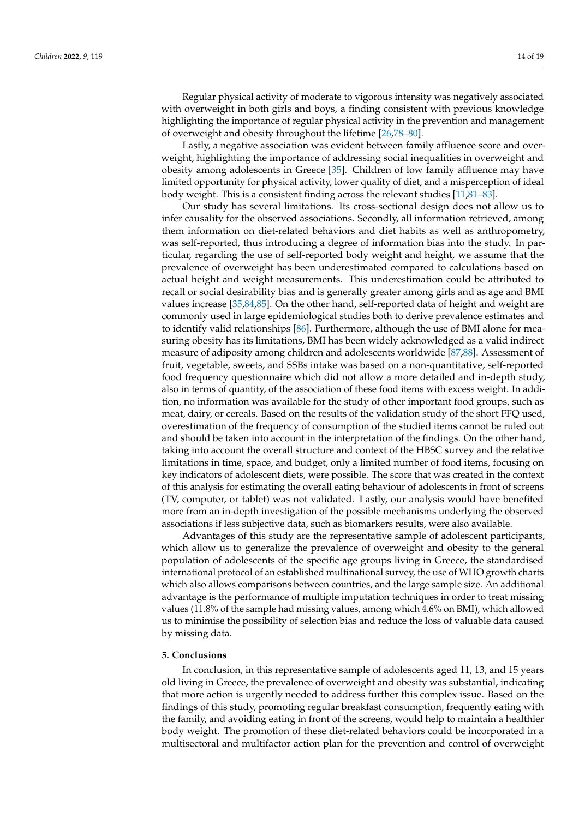Regular physical activity of moderate to vigorous intensity was negatively associated with overweight in both girls and boys, a finding consistent with previous knowledge highlighting the importance of regular physical activity in the prevention and management of overweight and obesity throughout the lifetime [\[26](#page-16-18)[,78–](#page-18-3)[80\]](#page-18-4).

Lastly, a negative association was evident between family affluence score and overweight, highlighting the importance of addressing social inequalities in overweight and obesity among adolescents in Greece [\[35\]](#page-16-3). Children of low family affluence may have limited opportunity for physical activity, lower quality of diet, and a misperception of ideal body weight. This is a consistent finding across the relevant studies [\[11](#page-15-13)[,81](#page-18-5)[–83\]](#page-18-6).

Our study has several limitations. Its cross-sectional design does not allow us to infer causality for the observed associations. Secondly, all information retrieved, among them information on diet-related behaviors and diet habits as well as anthropometry, was self-reported, thus introducing a degree of information bias into the study. In particular, regarding the use of self-reported body weight and height, we assume that the prevalence of overweight has been underestimated compared to calculations based on actual height and weight measurements. This underestimation could be attributed to recall or social desirability bias and is generally greater among girls and as age and BMI values increase [\[35,](#page-16-3)[84,](#page-18-7)[85\]](#page-18-8). On the other hand, self-reported data of height and weight are commonly used in large epidemiological studies both to derive prevalence estimates and to identify valid relationships [\[86\]](#page-18-9). Furthermore, although the use of BMI alone for measuring obesity has its limitations, BMI has been widely acknowledged as a valid indirect measure of adiposity among children and adolescents worldwide [\[87](#page-18-10)[,88\]](#page-18-11). Assessment of fruit, vegetable, sweets, and SSBs intake was based on a non-quantitative, self-reported food frequency questionnaire which did not allow a more detailed and in-depth study, also in terms of quantity, of the association of these food items with excess weight. In addition, no information was available for the study of other important food groups, such as meat, dairy, or cereals. Based on the results of the validation study of the short FFQ used, overestimation of the frequency of consumption of the studied items cannot be ruled out and should be taken into account in the interpretation of the findings. On the other hand, taking into account the overall structure and context of the HBSC survey and the relative limitations in time, space, and budget, only a limited number of food items, focusing on key indicators of adolescent diets, were possible. The score that was created in the context of this analysis for estimating the overall eating behaviour of adolescents in front of screens (TV, computer, or tablet) was not validated. Lastly, our analysis would have benefited more from an in-depth investigation of the possible mechanisms underlying the observed associations if less subjective data, such as biomarkers results, were also available.

Advantages of this study are the representative sample of adolescent participants, which allow us to generalize the prevalence of overweight and obesity to the general population of adolescents of the specific age groups living in Greece, the standardised international protocol of an established multinational survey, the use of WHO growth charts which also allows comparisons between countries, and the large sample size. An additional advantage is the performance of multiple imputation techniques in order to treat missing values (11.8% of the sample had missing values, among which 4.6% on BMI), which allowed us to minimise the possibility of selection bias and reduce the loss of valuable data caused by missing data.

# **5. Conclusions**

In conclusion, in this representative sample of adolescents aged 11, 13, and 15 years old living in Greece, the prevalence of overweight and obesity was substantial, indicating that more action is urgently needed to address further this complex issue. Based on the findings of this study, promoting regular breakfast consumption, frequently eating with the family, and avoiding eating in front of the screens, would help to maintain a healthier body weight. The promotion of these diet-related behaviors could be incorporated in a multisectoral and multifactor action plan for the prevention and control of overweight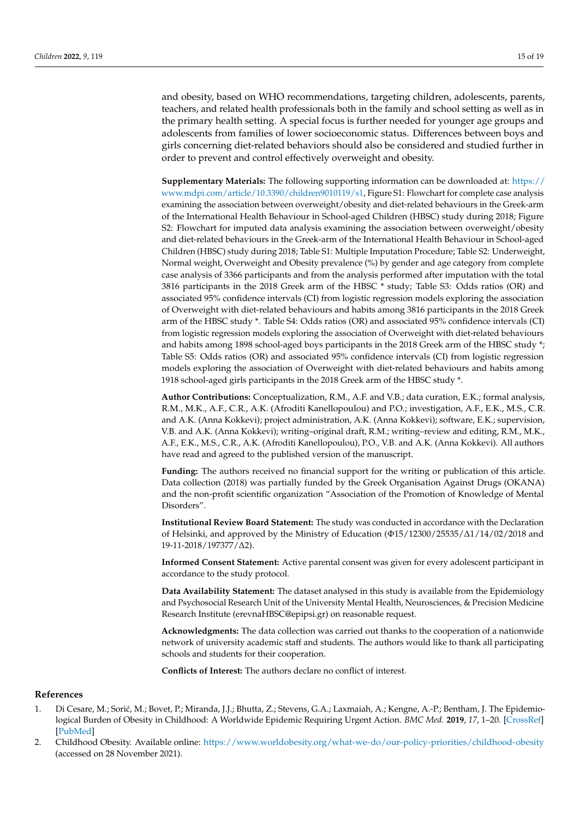and obesity, based on WHO recommendations, targeting children, adolescents, parents, teachers, and related health professionals both in the family and school setting as well as in the primary health setting. A special focus is further needed for younger age groups and adolescents from families of lower socioeconomic status. Differences between boys and girls concerning diet-related behaviors should also be considered and studied further in order to prevent and control effectively overweight and obesity.

**Supplementary Materials:** The following supporting information can be downloaded at: [https://](https://www.mdpi.com/article/10.3390/children9010119/s1) [www.mdpi.com/article/10.3390/children9010119/s1,](https://www.mdpi.com/article/10.3390/children9010119/s1) Figure S1: Flowchart for complete case analysis examining the association between overweight/obesity and diet-related behaviours in the Greek-arm of the International Health Behaviour in School-aged Children (HBSC) study during 2018; Figure S2: Flowchart for imputed data analysis examining the association between overweight/obesity and diet-related behaviours in the Greek-arm of the International Health Behaviour in School-aged Children (HBSC) study during 2018; Table S1: Multiple Imputation Procedure; Table S2: Underweight, Normal weight, Overweight and Obesity prevalence (%) by gender and age category from complete case analysis of 3366 participants and from the analysis performed after imputation with the total 3816 participants in the 2018 Greek arm of the HBSC \* study; Table S3: Odds ratios (OR) and associated 95% confidence intervals (CI) from logistic regression models exploring the association of Overweight with diet-related behaviours and habits among 3816 participants in the 2018 Greek arm of the HBSC study \*. Table S4: Odds ratios (OR) and associated 95% confidence intervals (CI) from logistic regression models exploring the association of Overweight with diet-related behaviours and habits among 1898 school-aged boys participants in the 2018 Greek arm of the HBSC study \*; Table S5: Odds ratios (OR) and associated 95% confidence intervals (CI) from logistic regression models exploring the association of Overweight with diet-related behaviours and habits among 1918 school-aged girls participants in the 2018 Greek arm of the HBSC study \*.

**Author Contributions:** Conceptualization, R.M., A.F. and V.B.; data curation, E.K.; formal analysis, R.M., M.K., A.F., C.R., A.K. (Afroditi Kanellopoulou) and P.O.; investigation, A.F., E.K., M.S., C.R. and A.K. (Anna Kokkevi); project administration, A.K. (Anna Kokkevi); software, E.K.; supervision, V.B. and A.K. (Anna Kokkevi); writing–original draft, R.M.; writing–review and editing, R.M., M.K., A.F., E.K., M.S., C.R., A.K. (Afroditi Kanellopoulou), P.O., V.B. and A.K. (Anna Kokkevi). All authors have read and agreed to the published version of the manuscript.

**Funding:** The authors received no financial support for the writing or publication of this article. Data collection (2018) was partially funded by the Greek Organisation Against Drugs (OKANA) and the non-profit scientific organization "Association of the Promotion of Knowledge of Mental Disorders".

**Institutional Review Board Statement:** The study was conducted in accordance with the Declaration of Helsinki, and approved by the Ministry of Education (Φ15/12300/25535/∆1/14/02/2018 and 19-11-2018/197377/∆2).

**Informed Consent Statement:** Active parental consent was given for every adolescent participant in accordance to the study protocol.

**Data Availability Statement:** The dataset analysed in this study is available from the Epidemiology and Psychosocial Research Unit of the University Mental Health, Neurosciences, & Precision Medicine Research Institute (erevnaHBSC@epipsi.gr) on reasonable request.

**Acknowledgments:** The data collection was carried out thanks to the cooperation of a nationwide network of university academic staff and students. The authors would like to thank all participating schools and students for their cooperation.

**Conflicts of Interest:** The authors declare no conflict of interest.

# **References**

- <span id="page-14-0"></span>1. Di Cesare, M.; Sorić, M.; Bovet, P.; Miranda, J.J.; Bhutta, Z.; Stevens, G.A.; Laxmaiah, A.; Kengne, A.-P.; Bentham, J. The Epidemiological Burden of Obesity in Childhood: A Worldwide Epidemic Requiring Urgent Action. *BMC Med.* **2019**, *17*, 1–20. [\[CrossRef\]](http://doi.org/10.1186/s12916-019-1449-8) [\[PubMed\]](http://www.ncbi.nlm.nih.gov/pubmed/31760948)
- <span id="page-14-1"></span>2. Childhood Obesity. Available online: <https://www.worldobesity.org/what-we-do/our-policy-priorities/childhood-obesity> (accessed on 28 November 2021).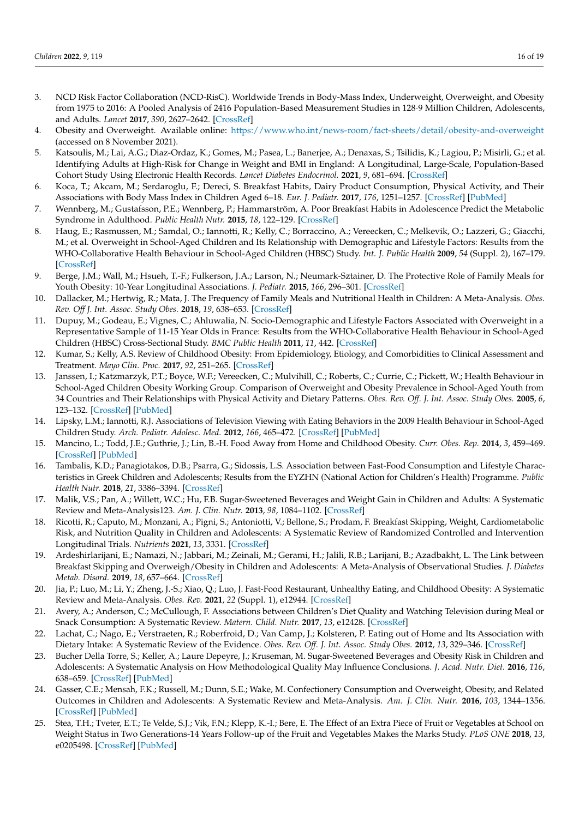- <span id="page-15-0"></span>3. NCD Risk Factor Collaboration (NCD-RisC). Worldwide Trends in Body-Mass Index, Underweight, Overweight, and Obesity from 1975 to 2016: A Pooled Analysis of 2416 Population-Based Measurement Studies in 128·9 Million Children, Adolescents, and Adults. *Lancet* **2017**, *390*, 2627–2642. [\[CrossRef\]](http://doi.org/10.1016/S0140-6736(17)32129-3)
- <span id="page-15-1"></span>4. Obesity and Overweight. Available online: <https://www.who.int/news-room/fact-sheets/detail/obesity-and-overweight> (accessed on 8 November 2021).
- <span id="page-15-2"></span>5. Katsoulis, M.; Lai, A.G.; Diaz-Ordaz, K.; Gomes, M.; Pasea, L.; Banerjee, A.; Denaxas, S.; Tsilidis, K.; Lagiou, P.; Misirli, G.; et al. Identifying Adults at High-Risk for Change in Weight and BMI in England: A Longitudinal, Large-Scale, Population-Based Cohort Study Using Electronic Health Records. *Lancet Diabetes Endocrinol.* **2021**, *9*, 681–694. [\[CrossRef\]](http://doi.org/10.1016/S2213-8587(21)00207-2)
- <span id="page-15-3"></span>6. Koca, T.; Akcam, M.; Serdaroglu, F.; Dereci, S. Breakfast Habits, Dairy Product Consumption, Physical Activity, and Their Associations with Body Mass Index in Children Aged 6–18. *Eur. J. Pediatr.* **2017**, *176*, 1251–1257. [\[CrossRef\]](http://doi.org/10.1007/s00431-017-2976-y) [\[PubMed\]](http://www.ncbi.nlm.nih.gov/pubmed/28799014)
- <span id="page-15-22"></span>7. Wennberg, M.; Gustafsson, P.E.; Wennberg, P.; Hammarström, A. Poor Breakfast Habits in Adolescence Predict the Metabolic Syndrome in Adulthood. *Public Health Nutr.* **2015**, *18*, 122–129. [\[CrossRef\]](http://doi.org/10.1017/S1368980013003509)
- <span id="page-15-5"></span>8. Haug, E.; Rasmussen, M.; Samdal, O.; Iannotti, R.; Kelly, C.; Borraccino, A.; Vereecken, C.; Melkevik, O.; Lazzeri, G.; Giacchi, M.; et al. Overweight in School-Aged Children and Its Relationship with Demographic and Lifestyle Factors: Results from the WHO-Collaborative Health Behaviour in School-Aged Children (HBSC) Study. *Int. J. Public Health* **2009**, *54* (Suppl. 2), 167–179. [\[CrossRef\]](http://doi.org/10.1007/s00038-009-5408-6)
- <span id="page-15-8"></span>9. Berge, J.M.; Wall, M.; Hsueh, T.-F.; Fulkerson, J.A.; Larson, N.; Neumark-Sztainer, D. The Protective Role of Family Meals for Youth Obesity: 10-Year Longitudinal Associations. *J. Pediatr.* **2015**, *166*, 296–301. [\[CrossRef\]](http://doi.org/10.1016/j.jpeds.2014.08.030)
- <span id="page-15-9"></span>10. Dallacker, M.; Hertwig, R.; Mata, J. The Frequency of Family Meals and Nutritional Health in Children: A Meta-Analysis. *Obes. Rev. Off J. Int. Assoc. Study Obes.* **2018**, *19*, 638–653. [\[CrossRef\]](http://doi.org/10.1111/obr.12659)
- <span id="page-15-13"></span>11. Dupuy, M.; Godeau, E.; Vignes, C.; Ahluwalia, N. Socio-Demographic and Lifestyle Factors Associated with Overweight in a Representative Sample of 11-15 Year Olds in France: Results from the WHO-Collaborative Health Behaviour in School-Aged Children (HBSC) Cross-Sectional Study. *BMC Public Health* **2011**, *11*, 442. [\[CrossRef\]](http://doi.org/10.1186/1471-2458-11-442)
- <span id="page-15-10"></span>12. Kumar, S.; Kelly, A.S. Review of Childhood Obesity: From Epidemiology, Etiology, and Comorbidities to Clinical Assessment and Treatment. *Mayo Clin. Proc.* **2017**, *92*, 251–265. [\[CrossRef\]](http://doi.org/10.1016/j.mayocp.2016.09.017)
- <span id="page-15-14"></span>13. Janssen, I.; Katzmarzyk, P.T.; Boyce, W.F.; Vereecken, C.; Mulvihill, C.; Roberts, C.; Currie, C.; Pickett, W.; Health Behaviour in School-Aged Children Obesity Working Group. Comparison of Overweight and Obesity Prevalence in School-Aged Youth from 34 Countries and Their Relationships with Physical Activity and Dietary Patterns. *Obes. Rev. Off. J. Int. Assoc. Study Obes.* **2005**, *6*, 123–132. [\[CrossRef\]](http://doi.org/10.1111/j.1467-789X.2005.00176.x) [\[PubMed\]](http://www.ncbi.nlm.nih.gov/pubmed/15836463)
- <span id="page-15-11"></span>14. Lipsky, L.M.; Iannotti, R.J. Associations of Television Viewing with Eating Behaviors in the 2009 Health Behaviour in School-Aged Children Study. *Arch. Pediatr. Adolesc. Med.* **2012**, *166*, 465–472. [\[CrossRef\]](http://doi.org/10.1001/archpediatrics.2011.1407) [\[PubMed\]](http://www.ncbi.nlm.nih.gov/pubmed/22566548)
- <span id="page-15-15"></span>15. Mancino, L.; Todd, J.E.; Guthrie, J.; Lin, B.-H. Food Away from Home and Childhood Obesity. *Curr. Obes. Rep.* **2014**, *3*, 459–469. [\[CrossRef\]](http://doi.org/10.1007/s13679-014-0121-z) [\[PubMed\]](http://www.ncbi.nlm.nih.gov/pubmed/26626922)
- <span id="page-15-16"></span>16. Tambalis, K.D.; Panagiotakos, D.B.; Psarra, G.; Sidossis, L.S. Association between Fast-Food Consumption and Lifestyle Characteristics in Greek Children and Adolescents; Results from the EYZHN (National Action for Children's Health) Programme. *Public Health Nutr.* **2018**, *21*, 3386–3394. [\[CrossRef\]](http://doi.org/10.1017/S1368980018002707)
- <span id="page-15-18"></span>17. Malik, V.S.; Pan, A.; Willett, W.C.; Hu, F.B. Sugar-Sweetened Beverages and Weight Gain in Children and Adults: A Systematic Review and Meta-Analysis123. *Am. J. Clin. Nutr.* **2013**, *98*, 1084–1102. [\[CrossRef\]](http://doi.org/10.3945/ajcn.113.058362)
- <span id="page-15-6"></span>18. Ricotti, R.; Caputo, M.; Monzani, A.; Pigni, S.; Antoniotti, V.; Bellone, S.; Prodam, F. Breakfast Skipping, Weight, Cardiometabolic Risk, and Nutrition Quality in Children and Adolescents: A Systematic Review of Randomized Controlled and Intervention Longitudinal Trials. *Nutrients* **2021**, *13*, 3331. [\[CrossRef\]](http://doi.org/10.3390/nu13103331)
- <span id="page-15-7"></span>19. Ardeshirlarijani, E.; Namazi, N.; Jabbari, M.; Zeinali, M.; Gerami, H.; Jalili, R.B.; Larijani, B.; Azadbakht, L. The Link between Breakfast Skipping and Overweigh/Obesity in Children and Adolescents: A Meta-Analysis of Observational Studies. *J. Diabetes Metab. Disord.* **2019**, *18*, 657–664. [\[CrossRef\]](http://doi.org/10.1007/s40200-019-00446-7)
- <span id="page-15-4"></span>20. Jia, P.; Luo, M.; Li, Y.; Zheng, J.-S.; Xiao, Q.; Luo, J. Fast-Food Restaurant, Unhealthy Eating, and Childhood Obesity: A Systematic Review and Meta-Analysis. *Obes. Rev.* **2021**, *22* (Suppl. 1), e12944. [\[CrossRef\]](http://doi.org/10.1111/obr.12944)
- <span id="page-15-12"></span>21. Avery, A.; Anderson, C.; McCullough, F. Associations between Children's Diet Quality and Watching Television during Meal or Snack Consumption: A Systematic Review. *Matern. Child. Nutr.* **2017**, *13*, e12428. [\[CrossRef\]](http://doi.org/10.1111/mcn.12428)
- <span id="page-15-17"></span>22. Lachat, C.; Nago, E.; Verstraeten, R.; Roberfroid, D.; Van Camp, J.; Kolsteren, P. Eating out of Home and Its Association with Dietary Intake: A Systematic Review of the Evidence. *Obes. Rev. Off. J. Int. Assoc. Study Obes.* **2012**, *13*, 329–346. [\[CrossRef\]](http://doi.org/10.1111/j.1467-789X.2011.00953.x)
- <span id="page-15-19"></span>23. Bucher Della Torre, S.; Keller, A.; Laure Depeyre, J.; Kruseman, M. Sugar-Sweetened Beverages and Obesity Risk in Children and Adolescents: A Systematic Analysis on How Methodological Quality May Influence Conclusions. *J. Acad. Nutr. Diet.* **2016**, *116*, 638–659. [\[CrossRef\]](http://doi.org/10.1016/j.jand.2015.05.020) [\[PubMed\]](http://www.ncbi.nlm.nih.gov/pubmed/26194333)
- <span id="page-15-20"></span>24. Gasser, C.E.; Mensah, F.K.; Russell, M.; Dunn, S.E.; Wake, M. Confectionery Consumption and Overweight, Obesity, and Related Outcomes in Children and Adolescents: A Systematic Review and Meta-Analysis. *Am. J. Clin. Nutr.* **2016**, *103*, 1344–1356. [\[CrossRef\]](http://doi.org/10.3945/ajcn.115.119883) [\[PubMed\]](http://www.ncbi.nlm.nih.gov/pubmed/27076575)
- <span id="page-15-21"></span>25. Stea, T.H.; Tveter, E.T.; Te Velde, S.J.; Vik, F.N.; Klepp, K.-I.; Bere, E. The Effect of an Extra Piece of Fruit or Vegetables at School on Weight Status in Two Generations-14 Years Follow-up of the Fruit and Vegetables Makes the Marks Study. *PLoS ONE* **2018**, *13*, e0205498. [\[CrossRef\]](http://doi.org/10.1371/journal.pone.0205498) [\[PubMed\]](http://www.ncbi.nlm.nih.gov/pubmed/30321202)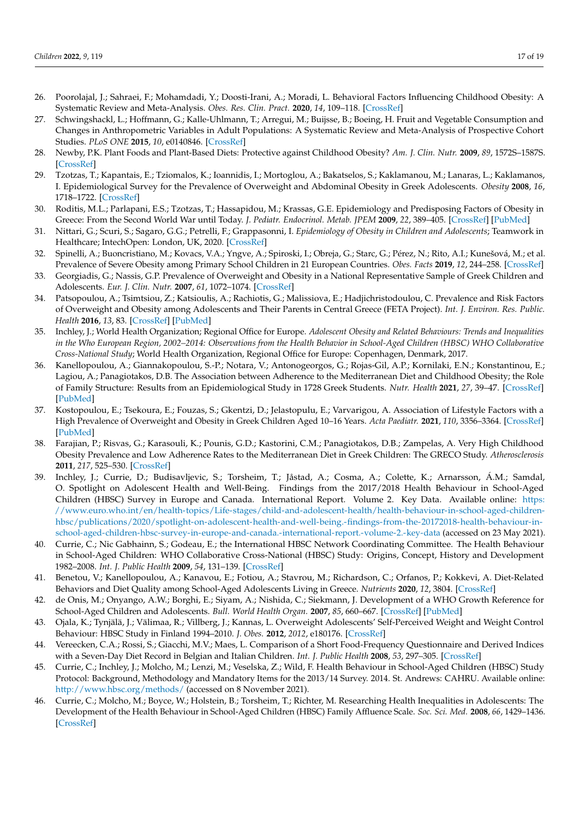- <span id="page-16-18"></span>26. Poorolajal, J.; Sahraei, F.; Mohamdadi, Y.; Doosti-Irani, A.; Moradi, L. Behavioral Factors Influencing Childhood Obesity: A Systematic Review and Meta-Analysis. *Obes. Res. Clin. Pract.* **2020**, *14*, 109–118. [\[CrossRef\]](http://doi.org/10.1016/j.orcp.2020.03.002)
- <span id="page-16-0"></span>27. Schwingshackl, L.; Hoffmann, G.; Kalle-Uhlmann, T.; Arregui, M.; Buijsse, B.; Boeing, H. Fruit and Vegetable Consumption and Changes in Anthropometric Variables in Adult Populations: A Systematic Review and Meta-Analysis of Prospective Cohort Studies. *PLoS ONE* **2015**, *10*, e0140846. [\[CrossRef\]](http://doi.org/10.1371/journal.pone.0140846)
- <span id="page-16-1"></span>28. Newby, P.K. Plant Foods and Plant-Based Diets: Protective against Childhood Obesity? *Am. J. Clin. Nutr.* **2009**, *89*, 1572S–1587S. [\[CrossRef\]](http://doi.org/10.3945/ajcn.2009.26736G)
- <span id="page-16-2"></span>29. Tzotzas, T.; Kapantais, E.; Tziomalos, K.; Ioannidis, I.; Mortoglou, A.; Bakatselos, S.; Kaklamanou, M.; Lanaras, L.; Kaklamanos, I. Epidemiological Survey for the Prevalence of Overweight and Abdominal Obesity in Greek Adolescents. *Obesity* **2008**, *16*, 1718–1722. [\[CrossRef\]](http://doi.org/10.1038/oby.2008.247)
- 30. Roditis, M.L.; Parlapani, E.S.; Tzotzas, T.; Hassapidou, M.; Krassas, G.E. Epidemiology and Predisposing Factors of Obesity in Greece: From the Second World War until Today. *J. Pediatr. Endocrinol. Metab. JPEM* **2009**, *22*, 389–405. [\[CrossRef\]](http://doi.org/10.1515/JPEM.2009.22.5.389) [\[PubMed\]](http://www.ncbi.nlm.nih.gov/pubmed/19618657)
- 31. Nittari, G.; Scuri, S.; Sagaro, G.G.; Petrelli, F.; Grappasonni, I. *Epidemiology of Obesity in Children and Adolescents*; Teamwork in Healthcare; IntechOpen: London, UK, 2020. [\[CrossRef\]](http://doi.org/10.5772/intechopen.93604)
- <span id="page-16-14"></span>32. Spinelli, A.; Buoncristiano, M.; Kovacs, V.A.; Yngve, A.; Spiroski, I.; Obreja, G.; Starc, G.; Pérez, N.; Rito, A.I.; Kunešová, M.; et al. Prevalence of Severe Obesity among Primary School Children in 21 European Countries. *Obes. Facts* **2019**, *12*, 244–258. [\[CrossRef\]](http://doi.org/10.1159/000500436)
- <span id="page-16-4"></span>33. Georgiadis, G.; Nassis, G.P. Prevalence of Overweight and Obesity in a National Representative Sample of Greek Children and Adolescents. *Eur. J. Clin. Nutr.* **2007**, *61*, 1072–1074. [\[CrossRef\]](http://doi.org/10.1038/sj.ejcn.1602619)
- <span id="page-16-17"></span>34. Patsopoulou, A.; Tsimtsiou, Z.; Katsioulis, A.; Rachiotis, G.; Malissiova, E.; Hadjichristodoulou, C. Prevalence and Risk Factors of Overweight and Obesity among Adolescents and Their Parents in Central Greece (FETA Project). *Int. J. Environ. Res. Public. Health* **2016**, *13*, 83. [\[CrossRef\]](http://doi.org/10.3390/ijerph13010083) [\[PubMed\]](http://www.ncbi.nlm.nih.gov/pubmed/26712779)
- <span id="page-16-3"></span>35. Inchley, J.; World Health Organization; Regional Office for Europe. *Adolescent Obesity and Related Behaviours: Trends and Inequalities in the Who European Region, 2002–2014: Observations from the Health Behavior in School-Aged Children (HBSC) WHO Collaborative Cross-National Study*; World Health Organization, Regional Office for Europe: Copenhagen, Denmark, 2017.
- <span id="page-16-15"></span>36. Kanellopoulou, A.; Giannakopoulou, S.-P.; Notara, V.; Antonogeorgos, G.; Rojas-Gil, A.P.; Kornilaki, E.N.; Konstantinou, E.; Lagiou, A.; Panagiotakos, D.B. The Association between Adherence to the Mediterranean Diet and Childhood Obesity; the Role of Family Structure: Results from an Epidemiological Study in 1728 Greek Students. *Nutr. Health* **2021**, *27*, 39–47. [\[CrossRef\]](http://doi.org/10.1177/0260106020952600) [\[PubMed\]](http://www.ncbi.nlm.nih.gov/pubmed/33073650)
- <span id="page-16-16"></span>37. Kostopoulou, E.; Tsekoura, E.; Fouzas, S.; Gkentzi, D.; Jelastopulu, E.; Varvarigou, A. Association of Lifestyle Factors with a High Prevalence of Overweight and Obesity in Greek Children Aged 10–16 Years. *Acta Paediatr.* **2021**, *110*, 3356–3364. [\[CrossRef\]](http://doi.org/10.1111/apa.15960) [\[PubMed\]](http://www.ncbi.nlm.nih.gov/pubmed/34050976)
- <span id="page-16-5"></span>38. Farajian, P.; Risvas, G.; Karasouli, K.; Pounis, G.D.; Kastorini, C.M.; Panagiotakos, D.B.; Zampelas, A. Very High Childhood Obesity Prevalence and Low Adherence Rates to the Mediterranean Diet in Greek Children: The GRECO Study. *Atherosclerosis* **2011**, *217*, 525–530. [\[CrossRef\]](http://doi.org/10.1016/j.atherosclerosis.2011.04.003)
- <span id="page-16-6"></span>39. Inchley, J.; Currie, D.; Budisavljevic, S.; Torsheim, T.; Jåstad, A.; Cosma, A.; Colette, K.; Arnarsson, Á.M.; Samdal, O. Spotlight on Adolescent Health and Well-Being. Findings from the 2017/2018 Health Behaviour in School-Aged Children (HBSC) Survey in Europe and Canada. International Report. Volume 2. Key Data. Available online: [https:](https://www.euro.who.int/en/health-topics/Life-stages/child-and-adolescent-health/health-behaviour-in-school-aged-children-hbsc/publications/2020/spotlight-on-adolescent-health-and-well-being.-findings-from-the-20172018-health-behaviour-in-school-aged-children-hbsc-survey-in-europe-and-canada.-international-report.-volume-2.-key-data) [//www.euro.who.int/en/health-topics/Life-stages/child-and-adolescent-health/health-behaviour-in-school-aged-children](https://www.euro.who.int/en/health-topics/Life-stages/child-and-adolescent-health/health-behaviour-in-school-aged-children-hbsc/publications/2020/spotlight-on-adolescent-health-and-well-being.-findings-from-the-20172018-health-behaviour-in-school-aged-children-hbsc-survey-in-europe-and-canada.-international-report.-volume-2.-key-data)[hbsc/publications/2020/spotlight-on-adolescent-health-and-well-being.-findings-from-the-20172018-health-behaviour-in](https://www.euro.who.int/en/health-topics/Life-stages/child-and-adolescent-health/health-behaviour-in-school-aged-children-hbsc/publications/2020/spotlight-on-adolescent-health-and-well-being.-findings-from-the-20172018-health-behaviour-in-school-aged-children-hbsc-survey-in-europe-and-canada.-international-report.-volume-2.-key-data)[school-aged-children-hbsc-survey-in-europe-and-canada.-international-report.-volume-2.-key-data](https://www.euro.who.int/en/health-topics/Life-stages/child-and-adolescent-health/health-behaviour-in-school-aged-children-hbsc/publications/2020/spotlight-on-adolescent-health-and-well-being.-findings-from-the-20172018-health-behaviour-in-school-aged-children-hbsc-survey-in-europe-and-canada.-international-report.-volume-2.-key-data) (accessed on 23 May 2021).
- <span id="page-16-7"></span>40. Currie, C.; Nic Gabhainn, S.; Godeau, E.; the International HBSC Network Coordinating Committee. The Health Behaviour in School-Aged Children: WHO Collaborative Cross-National (HBSC) Study: Origins, Concept, History and Development 1982–2008. *Int. J. Public Health* **2009**, *54*, 131–139. [\[CrossRef\]](http://doi.org/10.1007/s00038-009-5404-x)
- <span id="page-16-8"></span>41. Benetou, V.; Kanellopoulou, A.; Kanavou, E.; Fotiou, A.; Stavrou, M.; Richardson, C.; Orfanos, P.; Kokkevi, A. Diet-Related Behaviors and Diet Quality among School-Aged Adolescents Living in Greece. *Nutrients* **2020**, *12*, 3804. [\[CrossRef\]](http://doi.org/10.3390/nu12123804)
- <span id="page-16-9"></span>42. de Onis, M.; Onyango, A.W.; Borghi, E.; Siyam, A.; Nishida, C.; Siekmann, J. Development of a WHO Growth Reference for School-Aged Children and Adolescents. *Bull. World Health Organ.* **2007**, *85*, 660–667. [\[CrossRef\]](http://doi.org/10.2471/BLT.07.043497) [\[PubMed\]](http://www.ncbi.nlm.nih.gov/pubmed/18026621)
- <span id="page-16-10"></span>43. Ojala, K.; Tynjälä, J.; Välimaa, R.; Villberg, J.; Kannas, L. Overweight Adolescents' Self-Perceived Weight and Weight Control Behaviour: HBSC Study in Finland 1994–2010. *J. Obes.* **2012**, *2012*, e180176. [\[CrossRef\]](http://doi.org/10.1155/2012/180176)
- <span id="page-16-11"></span>44. Vereecken, C.A.; Rossi, S.; Giacchi, M.V.; Maes, L. Comparison of a Short Food-Frequency Questionnaire and Derived Indices with a Seven-Day Diet Record in Belgian and Italian Children. *Int. J. Public Health* **2008**, *53*, 297–305. [\[CrossRef\]](http://doi.org/10.1007/s00038-008-7101-6)
- <span id="page-16-12"></span>45. Currie, C.; Inchley, J.; Molcho, M.; Lenzi, M.; Veselska, Z.; Wild, F. Health Behaviour in School-Aged Children (HBSC) Study Protocol: Background, Methodology and Mandatory Items for the 2013/14 Survey. 2014. St. Andrews: CAHRU. Available online: <http://www.hbsc.org/methods/> (accessed on 8 November 2021).
- <span id="page-16-13"></span>46. Currie, C.; Molcho, M.; Boyce, W.; Holstein, B.; Torsheim, T.; Richter, M. Researching Health Inequalities in Adolescents: The Development of the Health Behaviour in School-Aged Children (HBSC) Family Affluence Scale. *Soc. Sci. Med.* **2008**, *66*, 1429–1436. [\[CrossRef\]](http://doi.org/10.1016/j.socscimed.2007.11.024)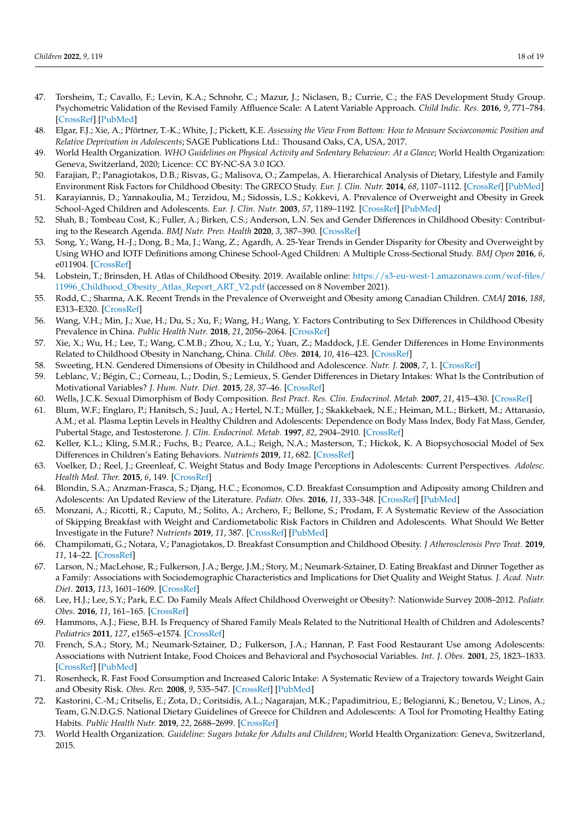- <span id="page-17-1"></span>47. Torsheim, T.; Cavallo, F.; Levin, K.A.; Schnohr, C.; Mazur, J.; Niclasen, B.; Currie, C.; the FAS Development Study Group. Psychometric Validation of the Revised Family Affluence Scale: A Latent Variable Approach. *Child Indic. Res.* **2016**, *9*, 771–784. [\[CrossRef\]](http://doi.org/10.1007/s12187-015-9339-x) [\[PubMed\]](http://www.ncbi.nlm.nih.gov/pubmed/27489572)
- <span id="page-17-0"></span>48. Elgar, F.J.; Xie, A.; Pförtner, T.-K.; White, J.; Pickett, K.E. *Assessing the View From Bottom: How to Measure Socioeconomic Position and Relative Deprivation in Adolescents*; SAGE Publications Ltd.: Thousand Oaks, CA, USA, 2017.
- <span id="page-17-2"></span>49. World Health Organization. *WHO Guidelines on Physical Activity and Sedentary Behaviour: At a Glance*; World Health Organization: Geneva, Switzerland, 2020; Licence: CC BY-NC-SA 3.0 IGO.
- <span id="page-17-3"></span>50. Farajian, P.; Panagiotakos, D.B.; Risvas, G.; Malisova, O.; Zampelas, A. Hierarchical Analysis of Dietary, Lifestyle and Family Environment Risk Factors for Childhood Obesity: The GRECO Study. *Eur. J. Clin. Nutr.* **2014**, *68*, 1107–1112. [\[CrossRef\]](http://doi.org/10.1038/ejcn.2014.89) [\[PubMed\]](http://www.ncbi.nlm.nih.gov/pubmed/24824010)
- <span id="page-17-4"></span>51. Karayiannis, D.; Yannakoulia, M.; Terzidou, M.; Sidossis, L.S.; Kokkevi, A. Prevalence of Overweight and Obesity in Greek School-Aged Children and Adolescents. *Eur. J. Clin. Nutr.* **2003**, *57*, 1189–1192. [\[CrossRef\]](http://doi.org/10.1038/sj.ejcn.1601743) [\[PubMed\]](http://www.ncbi.nlm.nih.gov/pubmed/12947441)
- <span id="page-17-5"></span>52. Shah, B.; Tombeau Cost, K.; Fuller, A.; Birken, C.S.; Anderson, L.N. Sex and Gender Differences in Childhood Obesity: Contributing to the Research Agenda. *BMJ Nutr. Prev. Health* **2020**, *3*, 387–390. [\[CrossRef\]](http://doi.org/10.1136/bmjnph-2020-000074)
- 53. Song, Y.; Wang, H.-J.; Dong, B.; Ma, J.; Wang, Z.; Agardh, A. 25-Year Trends in Gender Disparity for Obesity and Overweight by Using WHO and IOTF Definitions among Chinese School-Aged Children: A Multiple Cross-Sectional Study. *BMJ Open* **2016**, *6*, e011904. [\[CrossRef\]](http://doi.org/10.1136/bmjopen-2016-011904)
- 54. Lobstein, T.; Brinsden, H. Atlas of Childhood Obesity. 2019. Available online: [https://s3-eu-west-1.amazonaws.com/wof-files/](https://s3-eu-west-1.amazonaws.com/wof-files/11996_Childhood_Obesity_Atlas_Report_ART_V2.pdf) [11996\\_Childhood\\_Obesity\\_Atlas\\_Report\\_ART\\_V2.pdf](https://s3-eu-west-1.amazonaws.com/wof-files/11996_Childhood_Obesity_Atlas_Report_ART_V2.pdf) (accessed on 8 November 2021).
- <span id="page-17-6"></span>55. Rodd, C.; Sharma, A.K. Recent Trends in the Prevalence of Overweight and Obesity among Canadian Children. *CMAJ* **2016**, *188*, E313–E320. [\[CrossRef\]](http://doi.org/10.1503/cmaj.150854)
- <span id="page-17-7"></span>56. Wang, V.H.; Min, J.; Xue, H.; Du, S.; Xu, F.; Wang, H.; Wang, Y. Factors Contributing to Sex Differences in Childhood Obesity Prevalence in China. *Public Health Nutr.* **2018**, *21*, 2056–2064. [\[CrossRef\]](http://doi.org/10.1017/S1368980018000290)
- 57. Xie, X.; Wu, H.; Lee, T.; Wang, C.M.B.; Zhou, X.; Lu, Y.; Yuan, Z.; Maddock, J.E. Gender Differences in Home Environments Related to Childhood Obesity in Nanchang, China. *Child. Obes.* **2014**, *10*, 416–423. [\[CrossRef\]](http://doi.org/10.1089/chi.2013.0164)
- <span id="page-17-9"></span>58. Sweeting, H.N. Gendered Dimensions of Obesity in Childhood and Adolescence. *Nutr. J.* **2008**, *7*, 1. [\[CrossRef\]](http://doi.org/10.1186/1475-2891-7-1)
- <span id="page-17-8"></span>59. Leblanc, V.; Bégin, C.; Corneau, L.; Dodin, S.; Lemieux, S. Gender Differences in Dietary Intakes: What Is the Contribution of Motivational Variables? *J. Hum. Nutr. Diet.* **2015**, *28*, 37–46. [\[CrossRef\]](http://doi.org/10.1111/jhn.12213)
- <span id="page-17-10"></span>60. Wells, J.C.K. Sexual Dimorphism of Body Composition. *Best Pract. Res. Clin. Endocrinol. Metab.* **2007**, *21*, 415–430. [\[CrossRef\]](http://doi.org/10.1016/j.beem.2007.04.007)
- 61. Blum, W.F.; Englaro, P.; Hanitsch, S.; Juul, A.; Hertel, N.T.; Müller, J.; Skakkebaek, N.E.; Heiman, M.L.; Birkett, M.; Attanasio, A.M.; et al. Plasma Leptin Levels in Healthy Children and Adolescents: Dependence on Body Mass Index, Body Fat Mass, Gender, Pubertal Stage, and Testosterone. *J. Clin. Endocrinol. Metab.* **1997**, *82*, 2904–2910. [\[CrossRef\]](http://doi.org/10.1210/jcem.82.9.4251)
- <span id="page-17-11"></span>62. Keller, K.L.; Kling, S.M.R.; Fuchs, B.; Pearce, A.L.; Reigh, N.A.; Masterson, T.; Hickok, K. A Biopsychosocial Model of Sex Differences in Children's Eating Behaviors. *Nutrients* **2019**, *11*, 682. [\[CrossRef\]](http://doi.org/10.3390/nu11030682)
- <span id="page-17-12"></span>63. Voelker, D.; Reel, J.; Greenleaf, C. Weight Status and Body Image Perceptions in Adolescents: Current Perspectives. *Adolesc. Health Med. Ther.* **2015**, *6*, 149. [\[CrossRef\]](http://doi.org/10.2147/AHMT.S68344)
- <span id="page-17-13"></span>64. Blondin, S.A.; Anzman-Frasca, S.; Djang, H.C.; Economos, C.D. Breakfast Consumption and Adiposity among Children and Adolescents: An Updated Review of the Literature. *Pediatr. Obes.* **2016**, *11*, 333–348. [\[CrossRef\]](http://doi.org/10.1111/ijpo.12082) [\[PubMed\]](http://www.ncbi.nlm.nih.gov/pubmed/26842913)
- <span id="page-17-14"></span>65. Monzani, A.; Ricotti, R.; Caputo, M.; Solito, A.; Archero, F.; Bellone, S.; Prodam, F. A Systematic Review of the Association of Skipping Breakfast with Weight and Cardiometabolic Risk Factors in Children and Adolescents. What Should We Better Investigate in the Future? *Nutrients* **2019**, *11*, 387. [\[CrossRef\]](http://doi.org/10.3390/nu11020387) [\[PubMed\]](http://www.ncbi.nlm.nih.gov/pubmed/30781797)
- <span id="page-17-15"></span>66. Champilomati, G.; Notara, V.; Panagiotakos, D. Breakfast Consumption and Childhood Obesity. *J Atherosclerosis Prev Treat.* **2019**, *11*, 14–22. [\[CrossRef\]](http://doi.org/10.53590/japt.02.1003)
- <span id="page-17-16"></span>67. Larson, N.; MacLehose, R.; Fulkerson, J.A.; Berge, J.M.; Story, M.; Neumark-Sztainer, D. Eating Breakfast and Dinner Together as a Family: Associations with Sociodemographic Characteristics and Implications for Diet Quality and Weight Status. *J. Acad. Nutr. Diet.* **2013**, *113*, 1601–1609. [\[CrossRef\]](http://doi.org/10.1016/j.jand.2013.08.011)
- <span id="page-17-17"></span>68. Lee, H.J.; Lee, S.Y.; Park, E.C. Do Family Meals Affect Childhood Overweight or Obesity?: Nationwide Survey 2008–2012. *Pediatr. Obes.* **2016**, *11*, 161–165. [\[CrossRef\]](http://doi.org/10.1111/ijpo.12035)
- <span id="page-17-18"></span>69. Hammons, A.J.; Fiese, B.H. Is Frequency of Shared Family Meals Related to the Nutritional Health of Children and Adolescents? *Pediatrics* **2011**, *127*, e1565–e1574. [\[CrossRef\]](http://doi.org/10.1542/peds.2010-1440)
- <span id="page-17-19"></span>70. French, S.A.; Story, M.; Neumark-Sztainer, D.; Fulkerson, J.A.; Hannan, P. Fast Food Restaurant Use among Adolescents: Associations with Nutrient Intake, Food Choices and Behavioral and Psychosocial Variables. *Int. J. Obes.* **2001**, *25*, 1823–1833. [\[CrossRef\]](http://doi.org/10.1038/sj.ijo.0801820) [\[PubMed\]](http://www.ncbi.nlm.nih.gov/pubmed/11781764)
- <span id="page-17-20"></span>71. Rosenheck, R. Fast Food Consumption and Increased Caloric Intake: A Systematic Review of a Trajectory towards Weight Gain and Obesity Risk. *Obes. Rev.* **2008**, *9*, 535–547. [\[CrossRef\]](http://doi.org/10.1111/j.1467-789X.2008.00477.x) [\[PubMed\]](http://www.ncbi.nlm.nih.gov/pubmed/18346099)
- <span id="page-17-21"></span>72. Kastorini, C.-M.; Critselis, E.; Zota, D.; Coritsidis, A.L.; Nagarajan, M.K.; Papadimitriou, E.; Belogianni, K.; Benetou, V.; Linos, A.; Team, G.N.D.G.S. National Dietary Guidelines of Greece for Children and Adolescents: A Tool for Promoting Healthy Eating Habits. *Public Health Nutr.* **2019**, *22*, 2688–2699. [\[CrossRef\]](http://doi.org/10.1017/S1368980019001034)
- <span id="page-17-22"></span>73. World Health Organization. *Guideline: Sugars Intake for Adults and Children*; World Health Organization: Geneva, Switzerland, 2015.